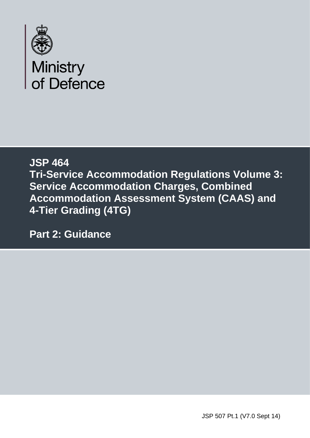

## **JSP 464 Tri-Service Accommodation Regulations Volume 3: Service Accommodation Charges, Combined Accommodation Assessment System (CAAS) and 4-Tier Grading (4TG)**

**Part 2: Guidance**

JSP 507 Pt.1 (V7.0 Sept 14)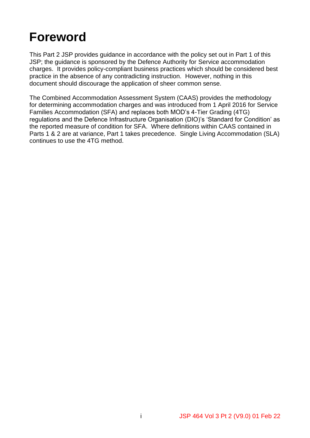## **Foreword**

This Part 2 JSP provides guidance in accordance with the policy set out in Part 1 of this JSP; the guidance is sponsored by the Defence Authority for Service accommodation charges. It provides policy-compliant business practices which should be considered best practice in the absence of any contradicting instruction. However, nothing in this document should discourage the application of sheer common sense.

The Combined Accommodation Assessment System (CAAS) provides the methodology for determining accommodation charges and was introduced from 1 April 2016 for Service Families Accommodation (SFA) and replaces both MOD's 4-Tier Grading (4TG) regulations and the Defence Infrastructure Organisation (DIO)'s 'Standard for Condition' as the reported measure of condition for SFA. Where definitions within CAAS contained in Parts 1 & 2 are at variance, Part 1 takes precedence. Single Living Accommodation (SLA) continues to use the 4TG method.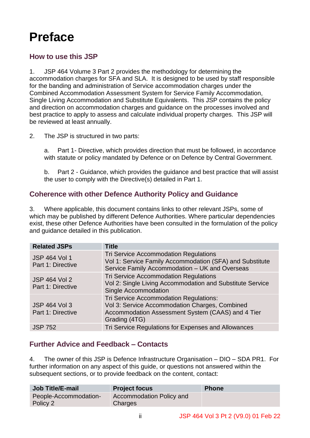## **Preface**

## **How to use this JSP**

1. JSP 464 Volume 3 Part 2 provides the methodology for determining the accommodation charges for SFA and SLA. It is designed to be used by staff responsible for the banding and administration of Service accommodation charges under the Combined Accommodation Assessment System for Service Family Accommodation, Single Living Accommodation and Substitute Equivalents. This JSP contains the policy and direction on accommodation charges and guidance on the processes involved and best practice to apply to assess and calculate individual property charges. This JSP will be reviewed at least annually.

2. The JSP is structured in two parts:

a. Part 1- Directive, which provides direction that must be followed, in accordance with statute or policy mandated by Defence or on Defence by Central Government.

b. Part 2 - Guidance, which provides the guidance and best practice that will assist the user to comply with the Directive(s) detailed in Part 1.

## **Coherence with other Defence Authority Policy and Guidance**

3. Where applicable, this document contains links to other relevant JSPs, some of which may be published by different Defence Authorities. Where particular dependencies exist, these other Defence Authorities have been consulted in the formulation of the policy and guidance detailed in this publication.

| <b>Related JSPs</b>                       | <b>Title</b>                                                                                                                                                   |
|-------------------------------------------|----------------------------------------------------------------------------------------------------------------------------------------------------------------|
| <b>JSP 464 Vol 1</b><br>Part 1: Directive | <b>Tri Service Accommodation Regulations</b><br>Vol 1: Service Family Accommodation (SFA) and Substitute<br>Service Family Accommodation - UK and Overseas     |
| <b>JSP 464 Vol 2</b><br>Part 1: Directive | <b>Tri Service Accommodation Regulations</b><br>Vol 2: Single Living Accommodation and Substitute Service<br><b>Single Accommodation</b>                       |
| <b>JSP 464 Vol 3</b><br>Part 1: Directive | Tri Service Accommodation Regulations:<br>Vol 3: Service Accommodation Charges, Combined<br>Accommodation Assessment System (CAAS) and 4 Tier<br>Grading (4TG) |
| <b>JSP 752</b>                            | Tri Service Regulations for Expenses and Allowances                                                                                                            |

## **Further Advice and Feedback – Contacts**

4. The owner of this JSP is Defence Infrastructure Organisation – DIO – SDA PR1. For further information on any aspect of this guide, or questions not answered within the subsequent sections, or to provide feedback on the content, contact:

| <b>Job Title/E-mail</b>           | <b>Project focus</b>                | <b>Phone</b> |
|-----------------------------------|-------------------------------------|--------------|
| People-Accommodation-<br>Policy 2 | Accommodation Policy and<br>Charges |              |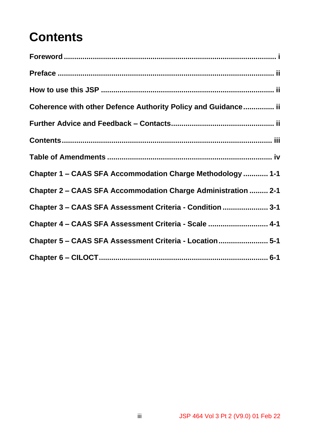## **Contents**

| Coherence with other Defence Authority Policy and Guidance ii |
|---------------------------------------------------------------|
|                                                               |
|                                                               |
|                                                               |
| Chapter 1 – CAAS SFA Accommodation Charge Methodology  1-1    |
| Chapter 2 – CAAS SFA Accommodation Charge Administration  2-1 |
| Chapter 3 - CAAS SFA Assessment Criteria - Condition  3-1     |
| Chapter 4 - CAAS SFA Assessment Criteria - Scale  4-1         |
| Chapter 5 - CAAS SFA Assessment Criteria - Location 5-1       |
|                                                               |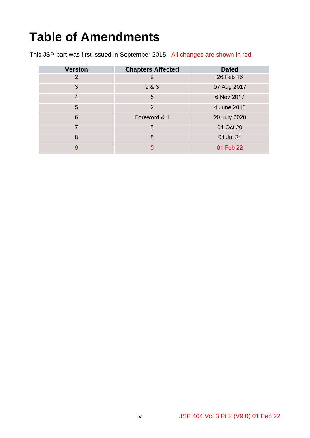# **Table of Amendments**

This JSP part was first issued in September 2015. All changes are shown in red.

| <b>Version</b> |                          |              |
|----------------|--------------------------|--------------|
|                | <b>Chapters Affected</b> | <b>Dated</b> |
| 2              | 2                        | 26 Feb 16    |
| 3              | 2 & 3                    | 07 Aug 2017  |
| $\overline{4}$ | 5                        | 6 Nov 2017   |
| 5              | 2                        | 4 June 2018  |
| 6              | Foreword & 1             | 20 July 2020 |
| $\overline{7}$ | 5                        | 01 Oct 20    |
| 8              | 5                        | 01 Jul 21    |
| 9              | 5                        | 01 Feb 22    |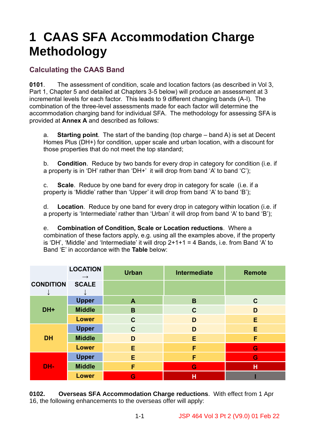## **1 CAAS SFA Accommodation Charge Methodology**

## **Calculating the CAAS Band**

**0101**. The assessment of condition, scale and location factors (as described in Vol 3, Part 1, Chapter 5 and detailed at Chapters 3-5 below) will produce an assessment at 3 incremental levels for each factor. This leads to 9 different changing bands (A-I). The combination of the three-level assessments made for each factor will determine the accommodation charging band for individual SFA. The methodology for assessing SFA is provided at **Annex A** and described as follows:

a. **Starting point**. The start of the banding (top charge – band A) is set at Decent Homes Plus (DH+) for condition, upper scale and urban location, with a discount for those properties that do not meet the top standard;

b. **Condition**. Reduce by two bands for every drop in category for condition (i.e. if a property is in 'DH' rather than 'DH+' it will drop from band 'A' to band 'C');

c. **Scale**. Reduce by one band for every drop in category for scale (i.e. if a property is 'Middle' rather than 'Upper' it will drop from band 'A' to band 'B');

d. **Location**. Reduce by one band for every drop in category within location (i.e. if a property is 'Intermediate' rather than 'Urban' it will drop from band 'A' to band 'B');

e. **Combination of Condition, Scale or Location reductions**. Where a combination of these factors apply, e.g. using all the examples above, if the property is 'DH', 'Middle' and 'Intermediate' it will drop 2+1+1 = 4 Bands, i.e. from Band 'A' to Band 'E' in accordance with the **Table** below:

|                  | <b>LOCATION</b><br>$\rightarrow$ | <b>Urban</b> | <b>Intermediate</b> | <b>Remote</b> |
|------------------|----------------------------------|--------------|---------------------|---------------|
| <b>CONDITION</b> | <b>SCALE</b>                     |              |                     |               |
|                  | <b>Upper</b>                     | A            | B                   | $\mathbf C$   |
| DH+              | <b>Middle</b>                    | B            | $\mathbf C$         | D             |
|                  | <b>Lower</b>                     | $\mathbf C$  | D                   | E             |
|                  | <b>Upper</b>                     | $\mathbf C$  | D                   | E             |
| <b>DH</b>        | <b>Middle</b>                    | D            | E                   | F             |
|                  | <b>Lower</b>                     | E            | F                   | G             |
|                  | <b>Upper</b>                     | E            | F                   | G             |
| DH-              | <b>Middle</b>                    | F            | G                   | н             |
|                  | <b>Lower</b>                     | G            | Н                   |               |

**0102. Overseas SFA Accommodation Charge reductions**. With effect from 1 Apr 16, the following enhancements to the overseas offer will apply: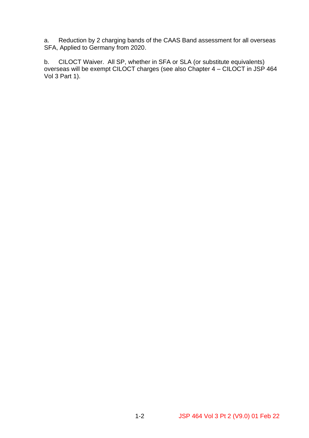a. Reduction by 2 charging bands of the CAAS Band assessment for all overseas SFA, Applied to Germany from 2020.

b. CILOCT Waiver. All SP, whether in SFA or SLA (or substitute equivalents) overseas will be exempt CILOCT charges (see also Chapter 4 – CILOCT in JSP 464 Vol 3 Part 1).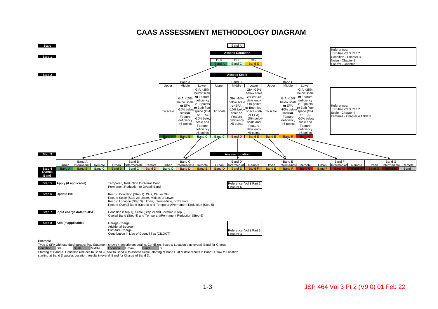#### **CAAS ASSESSMENT METHODOLOGY DIAGRAM**



Type C SFA with standard garage: Pay Statement shows 4 descriptors against Condition, Scale & Location plus overall Band for Charge<br>Condition DH Scale Middle Location Urban Band D Scale Middle Location Urban Band D

Starting at Band A, Condition reduces to Band C, flow to Band C to assess Scale, starting at Band C at Middle results in Band D, flow to Location starting at Band D assess Location, results in overall Band for Charge of Band D.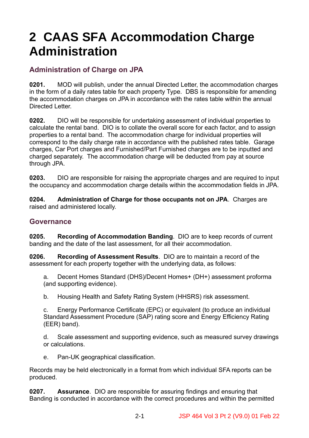## **2 CAAS SFA Accommodation Charge Administration**

## **Administration of Charge on JPA**

**0201.** MOD will publish, under the annual Directed Letter, the accommodation charges in the form of a daily rates table for each property Type. DBS is responsible for amending the accommodation charges on JPA in accordance with the rates table within the annual Directed Letter.

**0202.** DIO will be responsible for undertaking assessment of individual properties to calculate the rental band. DIO is to collate the overall score for each factor, and to assign properties to a rental band. The accommodation charge for individual properties will correspond to the daily charge rate in accordance with the published rates table. Garage charges, Car Port charges and Furnished/Part Furnished charges are to be inputted and charged separately. The accommodation charge will be deducted from pay at source through JPA.

**0203.** DIO are responsible for raising the appropriate charges and are required to input the occupancy and accommodation charge details within the accommodation fields in JPA.

**0204. Administration of Charge for those occupants not on JPA**. Charges are raised and administered locally.

#### **Governance**

**0205. Recording of Accommodation Banding**.DIO are to keep records of current banding and the date of the last assessment, for all their accommodation.

**0206. Recording of Assessment Results**.DIO are to maintain a record of the assessment for each property together with the underlying data, as follows:

a. Decent Homes Standard (DHS)/Decent Homes+ (DH+) assessment proforma (and supporting evidence).

b. Housing Health and Safety Rating System (HHSRS) risk assessment.

c. Energy Performance Certificate (EPC) or equivalent (to produce an individual Standard Assessment Procedure (SAP) rating score and Energy Efficiency Rating (EER) band).

d. Scale assessment and supporting evidence, such as measured survey drawings or calculations.

e. Pan-UK geographical classification.

Records may be held electronically in a format from which individual SFA reports can be produced.

**0207. Assurance**.DIO are responsible for assuring findings and ensuring that Banding is conducted in accordance with the correct procedures and within the permitted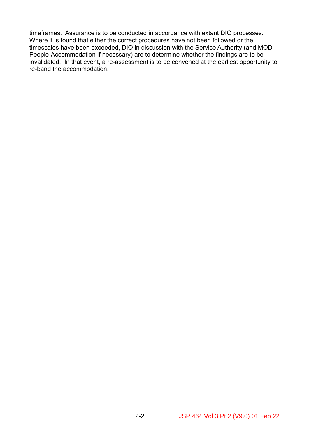timeframes. Assurance is to be conducted in accordance with extant DIO processes. Where it is found that either the correct procedures have not been followed or the timescales have been exceeded, DIO in discussion with the Service Authority (and MOD People-Accommodation if necessary) are to determine whether the findings are to be invalidated. In that event, a re-assessment is to be convened at the earliest opportunity to re-band the accommodation.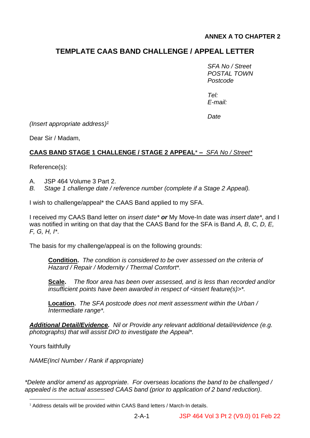#### **ANNEX A TO CHAPTER 2**

## **TEMPLATE CAAS BAND CHALLENGE / APPEAL LETTER**

*SFA No / Street POSTAL TOWN Postcode*

*Tel: E-mail:*

*Date*

*(Insert appropriate address) 1*

Dear Sir / Madam,

#### **CAAS BAND STAGE 1 CHALLENGE / STAGE 2 APPEAL**\* **–** *SFA No / Street\**

Reference(s):

- A. JSP 464 Volume 3 Part 2.
- *B. Stage 1 challenge date / reference number (complete if a Stage 2 Appeal).*

I wish to challenge/appeal\* the CAAS Band applied to my SFA.

I received my CAAS Band letter on *insert date\* or* My Move-In date was *insert date\**, and I was notified in writing on that day that the CAAS Band for the SFA is Band *A, B, C, D, E, F, G, H, I\**.

The basis for my challenge/appeal is on the following grounds:

**Condition.** *The condition is considered to be over assessed on the criteria of Hazard / Repair / Modernity / Thermal Comfort\*.*

**Scale.** *The floor area has been over assessed, and is less than recorded and/or insufficient points have been awarded in respect of <insert feature(s)>\*.*

**Location.** *The SFA postcode does not merit assessment within the Urban / Intermediate range\*.*

*Additional Detail/Evidence. Nil or Provide any relevant additional detail/evidence (e.g. photographs) that will assist DIO to investigate the Appeal\*.*

Yours faithfully

*NAME(Incl Number / Rank if appropriate)* 

*\*Delete and/or amend as appropriate. For overseas locations the band to be challenged / appealed is the actual assessed CAAS band (prior to application of 2 band reduction).*

<sup>&</sup>lt;sup>1</sup> Address details will be provided within CAAS Band letters / March-In details.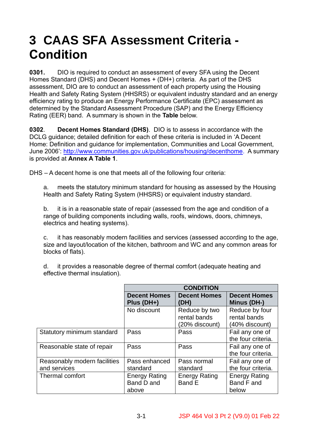## **3 CAAS SFA Assessment Criteria - Condition**

**0301.** DIO is required to conduct an assessment of every SFA using the Decent Homes Standard (DHS) and Decent Homes + (DH+) criteria. As part of the DHS assessment, DIO are to conduct an assessment of each property using the Housing Health and Safety Rating System (HHSRS) or equivalent industry standard and an energy efficiency rating to produce an Energy Performance Certificate (EPC) assessment as determined by the Standard Assessment Procedure (SAP) and the Energy Efficiency Rating (EER) band. A summary is shown in the **Table** below.

**0302**. **Decent Homes Standard (DHS)**. DIO is to assess in accordance with the DCLG guidance; detailed definition for each of these criteria is included in 'A Decent Home: Definition and guidance for implementation, Communities and Local Government, June 2006': [http://www.communities.gov.uk/publications/housing/decenthome.](http://www.communities.gov.uk/publications/housing/decenthome) A summary is provided at **Annex A Table 1**.

DHS – A decent home is one that meets all of the following four criteria:

a. meets the statutory minimum standard for housing as assessed by the Housing Health and Safety Rating System (HHSRS) or equivalent industry standard.

b. it is in a reasonable state of repair (assessed from the age and condition of a range of building components including walls, roofs, windows, doors, chimneys, electrics and heating systems).

c. it has reasonably modern facilities and services (assessed according to the age, size and layout/location of the kitchen, bathroom and WC and any common areas for blocks of flats).

d. it provides a reasonable degree of thermal comfort (adequate heating and effective thermal insulation).

|                                              | <b>CONDITION</b>                            |                                                 |                                                  |  |  |
|----------------------------------------------|---------------------------------------------|-------------------------------------------------|--------------------------------------------------|--|--|
|                                              | <b>Decent Homes</b><br>Plus (DH+)           | <b>Decent Homes</b><br>(DH)                     | <b>Decent Homes</b><br>Minus (DH-)               |  |  |
|                                              | No discount                                 | Reduce by two<br>rental bands<br>(20% discount) | Reduce by four<br>rental bands<br>(40% discount) |  |  |
| Statutory minimum standard                   | Pass                                        | Pass                                            | Fail any one of<br>the four criteria.            |  |  |
| Reasonable state of repair                   | Pass                                        | Pass                                            | Fail any one of<br>the four criteria.            |  |  |
| Reasonably modern facilities<br>and services | Pass enhanced<br>standard                   | Pass normal<br>standard                         | Fail any one of<br>the four criteria.            |  |  |
| Thermal comfort                              | <b>Energy Rating</b><br>Band D and<br>above | <b>Energy Rating</b><br>Band E                  | <b>Energy Rating</b><br>Band F and<br>below      |  |  |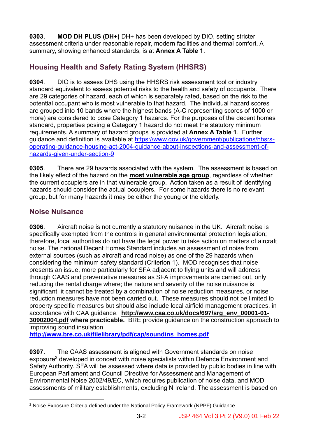**0303. MOD DH PLUS (DH+)** DH+ has been developed by DIO, setting stricter assessment criteria under reasonable repair, modern facilities and thermal comfort. A summary, showing enhanced standards, is at **Annex A Table 1**.

## **Housing Health and Safety Rating System (HHSRS)**

**0304**. DIO is to assess DHS using the HHSRS risk assessment tool or industry standard equivalent to assess potential risks to the health and safety of occupants. There are 29 categories of hazard, each of which is separately rated, based on the risk to the potential occupant who is most vulnerable to that hazard. The individual hazard scores are grouped into 10 bands where the highest bands (A-C representing scores of 1000 or more) are considered to pose Category 1 hazards. For the purposes of the decent homes standard, properties posing a Category 1 hazard do not meet the statutory minimum requirements. A summary of hazard groups is provided at **Annex A Table 1**. Further guidance and definition is available at [https://www.gov.uk/government/publications/hhsrs](https://www.gov.uk/government/publications/hhsrs-operating-guidance-housing-act-2004-guidance-about-inspections-and-assessment-of-hazards-given-under-section-9)[operating-guidance-housing-act-2004-guidance-about-inspections-and-assessment-of](https://www.gov.uk/government/publications/hhsrs-operating-guidance-housing-act-2004-guidance-about-inspections-and-assessment-of-hazards-given-under-section-9)[hazards-given-under-section-9](https://www.gov.uk/government/publications/hhsrs-operating-guidance-housing-act-2004-guidance-about-inspections-and-assessment-of-hazards-given-under-section-9)

**0305**. There are 29 hazards associated with the system. The assessment is based on the likely effect of the hazard on the **most vulnerable age group**, regardless of whether the current occupiers are in that vulnerable group. Action taken as a result of identifying hazards should consider the actual occupiers. For some hazards there is no relevant group, but for many hazards it may be either the young or the elderly.

## **Noise Nuisance**

**0306**. Aircraft noise is not currently a statutory nuisance in the UK. Aircraft noise is specifically exempted from the controls in general environmental protection legislation; therefore, local authorities do not have the legal power to take action on matters of aircraft noise. The national Decent Homes Standard includes an assessment of noise from external sources (such as aircraft and road noise) as one of the 29 hazards when considering the minimum safety standard (Criterion 1). MOD recognises that noise presents an issue, more particularly for SFA adjacent to flying units and will address through CAAS and preventative measures as SFA improvements are carried out, only reducing the rental charge where; the nature and severity of the noise nuisance is significant, it cannot be treated by a combination of noise reduction measures, or noise reduction measures have not been carried out. These measures should not be limited to property specific measures but should also include local airfield management practices, in accordance with CAA guidance. **[http://www.caa.co.uk/docs/697/srg\\_env\\_00001-01-](http://www.caa.co.uk/docs/697/srg_env_00001-01-30902004.pdf) [30902004.pdf](http://www.caa.co.uk/docs/697/srg_env_00001-01-30902004.pdf) where practicable.** BRE provide guidance on the construction approach to improving sound insulation.

**[http://www.bre.co.uk/filelibrary/pdf/cap/soundins\\_homes.pdf](http://www.bre.co.uk/filelibrary/pdf/cap/soundins_homes.pdf)**

**0307.** The CAAS assessment is aligned with Government standards on noise exposure<sup>2</sup> developed in concert with noise specialists within Defence Environment and Safety Authority. SFA will be assessed where data is provided by public bodies in line with European Parliament and Council Directive for Assessment and Management of Environmental Noise 2002/49/EC, which requires publication of noise data, and MOD assessments of military establishments, excluding N Ireland. The assessment is based on

<sup>2</sup> Noise Exposure Criteria defined under the National Policy Framework (NPPF) Guidance.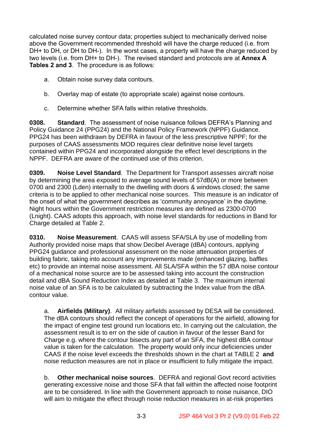calculated noise survey contour data; properties subject to mechanically derived noise above the Government recommended threshold will have the charge reduced (i.e. from DH+ to DH, or DH to DH-). In the worst cases, a property will have the charge reduced by two levels (i.e. from DH+ to DH-). The revised standard and protocols are at **Annex A Tables 2 and 3**. The procedure is as follows:

- a. Obtain noise survey data contours.
- b. Overlay map of estate (to appropriate scale) against noise contours.
- c. Determine whether SFA falls within relative thresholds.

**0308. Standard**.The assessment of noise nuisance follows DEFRA's Planning and Policy Guidance 24 (PPG24) and the National Policy Framework (NPPF) Guidance. PPG24 has been withdrawn by DEFRA in favour of the less prescriptive NPPF; for the purposes of CAAS assessments MOD requires clear definitive noise level targets contained within PPG24 and incorporated alongside the effect level descriptions in the NPPF. DEFRA are aware of the continued use of this criterion.

**0309. Noise Level Standard**. The Department for Transport assesses aircraft noise by determining the area exposed to average sound levels of 57dB(A) or more between 0700 and 2300 (Lden) internally to the dwelling with doors & windows closed; the same criteria is to be applied to other mechanical noise sources. This measure is an indicator of the onset of what the government describes as 'community annoyance' in the daytime. Night hours within the Government restriction measures are defined as 2300-0700 (Lnight). CAAS adopts this approach, with noise level standards for reductions in Band for Charge detailed at Table 2.

**0310.** Noise Measurement. CAAS will assess SFA/SLA by use of modelling from Authority provided noise maps that show Decibel Average (dBA) contours, applying PPG24 guidance and professional assessment on the noise attenuation properties of building fabric, taking into account any improvements made (enhanced glazing, baffles etc) to provide an internal noise assessment. All SLA/SFA within the 57 dBA noise contour of a mechanical noise source are to be assessed taking into account the construction detail and dBA Sound Reduction Index as detailed at Table 3. The maximum internal noise value of an SFA is to be calculated by subtracting the Index value from the dBA contour value.

a. **Airfields (Military)**. All military airfields assessed by DESA will be considered. The dBA contours should reflect the concept of operations for the airfield, allowing for the impact of engine test ground run locations etc. In carrying out the calculation, the assessment result is to err on the side of caution in favour of the lesser Band for Charge e.g. where the contour bisects any part of an SFA, the highest dBA contour value is taken for the calculation. The property would only incur deficiencies under CAAS if the noise level exceeds the thresholds shown in the chart at TABLE 2 **and** noise reduction measures are not in place or insufficient to fully mitigate the impact.

b. **Other mechanical noise sources**. DEFRA and regional Govt record activities generating excessive noise and those SFA that fall within the affected noise footprint are to be considered. In line with the Government approach to noise nuisance, DIO will aim to mitigate the effect through noise reduction measures in at-risk properties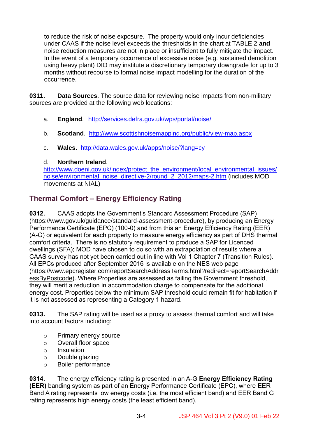to reduce the risk of noise exposure. The property would only incur deficiencies under CAAS if the noise level exceeds the thresholds in the chart at TABLE 2 **and** noise reduction measures are not in place or insufficient to fully mitigate the impact. In the event of a temporary occurrence of excessive noise (e.g. sustained demolition using heavy plant) DIO may institute a discretionary temporary downgrade for up to 3 months without recourse to formal noise impact modelling for the duration of the occurrence.

**0311. Data Sources**. The source data for reviewing noise impacts from non-military sources are provided at the following web locations:

- a. **England**. <http://services.defra.gov.uk/wps/portal/noise/>
- b. **Scotland**. <http://www.scottishnoisemapping.org/public/view-map.aspx>
- c. **Wales**. <http://data.wales.gov.uk/apps/noise/?lang=cy>

#### d. **Northern Ireland**.

[http://www.doeni.gov.uk/index/protect\\_the\\_environment/local\\_environmental\\_issues/](http://www.doeni.gov.uk/index/protect_the_environment/local_environmental_issues/noise/environmental_noise_directive-2/round_2_2012/maps-2.htm) [noise/environmental\\_noise\\_directive-2/round\\_2\\_2012/maps-2.htm](http://www.doeni.gov.uk/index/protect_the_environment/local_environmental_issues/noise/environmental_noise_directive-2/round_2_2012/maps-2.htm) (includes MOD movements at NIAL)

## **Thermal Comfort – Energy Efficiency Rating**

**0312.** CAAS adopts the Government's Standard Assessment Procedure (SAP) [\(https://www.gov.uk/guidance/standard-assessment-procedure\)](https://www.gov.uk/guidance/standard-assessment-procedure), by producing an Energy Performance Certificate (EPC) (100-0) and from this an Energy Efficiency Rating (EER) (A-G) or equivalent for each property to measure energy efficiency as part of DHS thermal comfort criteria. There is no statutory requirement to produce a SAP for Licenced dwellings (SFA); MOD have chosen to do so with an extrapolation of results where a CAAS survey has not yet been carried out in line with Vol 1 Chapter 7 (Transition Rules). All EPCs produced after September 2016 is available on the NES web page [\(https://www.epcregister.com/reportSearchAddressTerms.html?redirect=reportSearchAddr](https://www.epcregister.com/reportSearchAddressTerms.html?redirect=reportSearchAddressByPostcode) [essByPostcode\)](https://www.epcregister.com/reportSearchAddressTerms.html?redirect=reportSearchAddressByPostcode). Where Properties are assessed as failing the Government threshold, they will merit a reduction in accommodation charge to compensate for the additional energy cost. Properties below the minimum SAP threshold could remain fit for habitation if it is not assessed as representing a Category 1 hazard.

**0313.** The SAP rating will be used as a proxy to assess thermal comfort and will take into account factors including:

- o Primary energy source
- o Overall floor space
- o Insulation
- o Double glazing
- o Boiler performance

**0314.** The energy efficiency rating is presented in an A-G **Energy Efficiency Rating (EER)** banding system as part of an Energy Performance Certificate (EPC), where EER Band A rating represents low energy costs (i.e. the most efficient band) and EER Band G rating represents high energy costs (the least efficient band).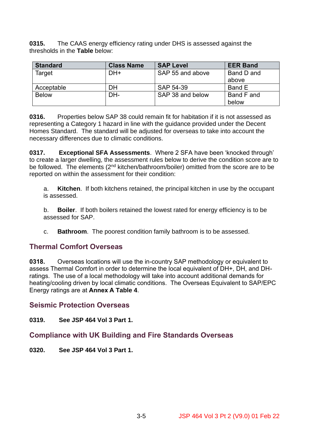**0315.** The CAAS energy efficiency rating under DHS is assessed against the thresholds in the **Table** below:

| <b>Standard</b> | <b>Class Name</b> | <b>SAP Level</b> | <b>EER Band</b> |
|-----------------|-------------------|------------------|-----------------|
| Target          | DH+               |                  | Band D and      |
|                 |                   |                  | above           |
| Acceptable      | DH                | SAP 54-39        | Band E          |
| <b>Below</b>    | DH-               | SAP 38 and below | Band F and      |
|                 |                   |                  | below           |

**0316.** Properties below SAP 38 could remain fit for habitation if it is not assessed as representing a Category 1 hazard in line with the guidance provided under the Decent Homes Standard. The standard will be adjusted for overseas to take into account the necessary differences due to climatic conditions.

**0317. Exceptional SFA Assessments**. Where 2 SFA have been 'knocked through' to create a larger dwelling, the assessment rules below to derive the condition score are to be followed. The elements  $(2^{nd}$  kitchen/bathroom/boiler) omitted from the score are to be reported on within the assessment for their condition:

a. **Kitchen**. If both kitchens retained, the principal kitchen in use by the occupant is assessed.

b. **Boiler**. If both boilers retained the lowest rated for energy efficiency is to be assessed for SAP.

c. **Bathroom**. The poorest condition family bathroom is to be assessed.

## **Thermal Comfort Overseas**

**0318.** Overseas locations will use the in-country SAP methodology or equivalent to assess Thermal Comfort in order to determine the local equivalent of DH+, DH, and DHratings. The use of a local methodology will take into account additional demands for heating/cooling driven by local climatic conditions. The Overseas Equivalent to SAP/EPC Energy ratings are at **Annex A Table 4**.

**Seismic Protection Overseas**

**0319. See JSP 464 Vol 3 Part 1.**

## **Compliance with UK Building and Fire Standards Overseas**

**0320. See JSP 464 Vol 3 Part 1.**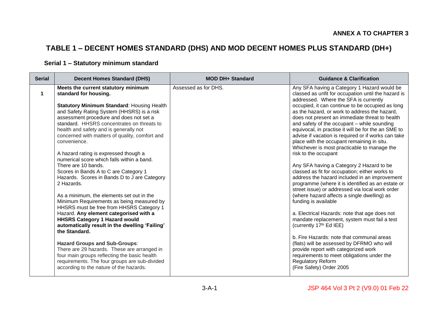## **TABLE 1 – DECENT HOMES STANDARD (DHS) AND MOD DECENT HOMES PLUS STANDARD (DH+)**

#### **Serial 1 – Statutory minimum standard**

| <b>Serial</b> | <b>Decent Homes Standard (DHS)</b>                                                                                                                                                                                                                                                                                                                                                          | <b>MOD DH+ Standard</b> | <b>Guidance &amp; Clarification</b>                                                                                                                                                                                                                                                                                                                                                                                                   |  |  |
|---------------|---------------------------------------------------------------------------------------------------------------------------------------------------------------------------------------------------------------------------------------------------------------------------------------------------------------------------------------------------------------------------------------------|-------------------------|---------------------------------------------------------------------------------------------------------------------------------------------------------------------------------------------------------------------------------------------------------------------------------------------------------------------------------------------------------------------------------------------------------------------------------------|--|--|
| $\mathbf 1$   | Meets the current statutory minimum<br>standard for housing.                                                                                                                                                                                                                                                                                                                                | Assessed as for DHS.    | Any SFA having a Category 1 Hazard would be<br>classed as unfit for occupation until the hazard is<br>addressed. Where the SFA is currently                                                                                                                                                                                                                                                                                           |  |  |
|               | <b>Statutory Minimum Standard: Housing Health</b><br>and Safety Rating System (HHSRS) is a risk<br>assessment procedure and does not set a<br>standard. HHSRS concentrates on threats to<br>health and safety and is generally not<br>concerned with matters of quality, comfort and<br>convenience.<br>A hazard rating is expressed though a<br>numerical score which falls within a band. |                         | occupied, it can continue to be occupied as long<br>as the hazard, or work to address the hazard,<br>does not present an immediate threat to health<br>and safety of the occupant - while sounding<br>equivocal, in practise it will be for the an SME to<br>advise if vacation is required or if works can take<br>place with the occupant remaining in situ.<br>Whichever is most practicable to manage the<br>risk to the occupant |  |  |
|               | There are 10 bands.<br>Scores in Bands A to C are Category 1<br>Hazards. Scores in Bands D to J are Category<br>2 Hazards.<br>As a minimum, the elements set out in the                                                                                                                                                                                                                     |                         | Any SFA having a Category 2 Hazard to be<br>classed as fit for occupation; either works to<br>address the hazard included in an improvement<br>programme (where it is identified as an estate or<br>street issue) or addressed via local work order<br>(where hazard affects a single dwelling) as                                                                                                                                    |  |  |
|               | Minimum Requirements as being measured by<br>HHSRS must be free from HHSRS Category 1<br>Hazard. Any element categorised with a<br><b>HHSRS Category 1 Hazard would</b><br>automatically result in the dwelling 'Failing'<br>the Standard.                                                                                                                                                  |                         | funding is available<br>a. Electrical Hazards: note that age does not<br>mandate replacement, system must fail a test<br>(currently 17th Ed IEE)                                                                                                                                                                                                                                                                                      |  |  |
|               | <b>Hazard Groups and Sub-Groups:</b><br>There are 29 hazards. These are arranged in<br>four main groups reflecting the basic health<br>requirements. The four groups are sub-divided<br>according to the nature of the hazards.                                                                                                                                                             |                         | b. Fire Hazards: note that communal areas<br>(flats) will be assessed by DFRMO who will<br>provide report with categorized work<br>requirements to meet obligations under the<br><b>Regulatory Reform</b><br>(Fire Safety) Order 2005                                                                                                                                                                                                 |  |  |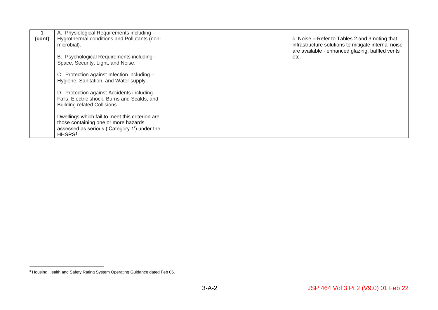|        | A. Physiological Requirements including -       |                                                         |
|--------|-------------------------------------------------|---------------------------------------------------------|
| (cont) | Hygrothermal conditions and Pollutants (non-    | c. Noise $-$ Refer to Tables 2 and 3 noting that        |
|        | microbial).                                     | infrastructure solutions to mitigate internal noise     |
|        | B. Psychological Requirements including -       | are available - enhanced glazing, baffled vents<br>etc. |
|        | Space, Security, Light, and Noise.              |                                                         |
|        |                                                 |                                                         |
|        | C. Protection against Infection including -     |                                                         |
|        | Hygiene, Sanitation, and Water supply.          |                                                         |
|        | D. Protection against Accidents including -     |                                                         |
|        | Falls, Electric shock, Burns and Scalds, and    |                                                         |
|        | <b>Building related Collisions</b>              |                                                         |
|        | Dwellings which fail to meet this criterion are |                                                         |
|        | those containing one or more hazards            |                                                         |
|        | assessed as serious ('Category 1') under the    |                                                         |
|        | HHSRS <sup>3</sup> .                            |                                                         |

<sup>&</sup>lt;sup>3</sup> Housing Health and Safety Rating System Operating Guidance dated Feb 06.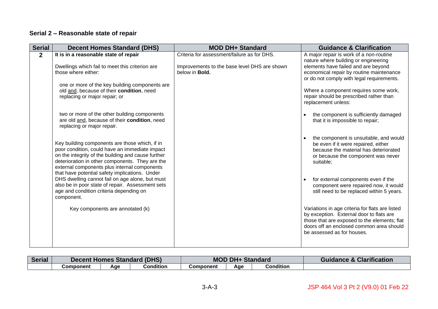## **Serial 2 – Reasonable state of repair**

| <b>Serial</b>  | <b>Decent Homes Standard (DHS)</b>                                                                                                                                                                                                                                                                          | <b>MOD DH+ Standard</b>                                                | <b>Guidance &amp; Clarification</b>                                                                                                                                                                                   |
|----------------|-------------------------------------------------------------------------------------------------------------------------------------------------------------------------------------------------------------------------------------------------------------------------------------------------------------|------------------------------------------------------------------------|-----------------------------------------------------------------------------------------------------------------------------------------------------------------------------------------------------------------------|
| $\overline{2}$ | It is in a reasonable state of repair                                                                                                                                                                                                                                                                       | Criteria for assessment/failure as for DHS.                            | A major repair is work of a non-routine<br>nature where building or engineering                                                                                                                                       |
|                | Dwellings which fail to meet this criterion are<br>those where either:                                                                                                                                                                                                                                      | Improvements to the base level DHS are shown<br>below in <b>Bold</b> . | elements have failed and are beyond<br>economical repair by routine maintenance<br>or do not comply with legal requirements.                                                                                          |
|                | one or more of the key building components are<br>old and, because of their condition, need<br>replacing or major repair; or                                                                                                                                                                                |                                                                        | Where a component requires some work,<br>repair should be prescribed rather than<br>replacement unless:                                                                                                               |
|                | two or more of the other building components<br>are old and, because of their condition, need<br>replacing or major repair.                                                                                                                                                                                 |                                                                        | the component is sufficiently damaged<br>that it is impossible to repair;                                                                                                                                             |
|                | Key building components are those which, if in<br>poor condition, could have an immediate impact<br>on the integrity of the building and cause further<br>deterioration in other components. They are the<br>external components plus internal components<br>that have potential safety implications. Under |                                                                        | the component is unsuitable, and would<br>be even if it were repaired, either<br>because the material has deteriorated<br>or because the component was never<br>suitable;                                             |
|                | DHS dwelling cannot fail on age alone, but must<br>also be in poor state of repair. Assessment sets<br>age and condition criteria depending on<br>component.                                                                                                                                                |                                                                        | for external components even if the<br>component were repaired now, it would<br>still need to be replaced within 5 years.                                                                                             |
|                | Key components are annotated (k)                                                                                                                                                                                                                                                                            |                                                                        | Variations in age criteria for flats are listed<br>by exception. External door to flats are<br>those that are exposed to the elements; flat<br>doors off an enclosed common area should<br>be assessed as for houses. |

| <b>Serial</b> | (DHS)<br>: Homes Standard<br>Decent |     | DH.<br>MOL<br><b>Standard</b> |           |     | <b>Guidance &amp; Clarification</b> |  |
|---------------|-------------------------------------|-----|-------------------------------|-----------|-----|-------------------------------------|--|
|               | Component                           | Aae | Condition                     | Component | Age | Condition                           |  |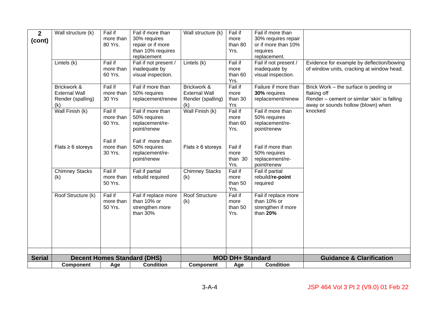| $\mathbf{2}$  | Wall structure (k)     | Fail if   | Fail if more than                  | Wall structure (k)     | Fail if                 | Fail if more than     |                                               |
|---------------|------------------------|-----------|------------------------------------|------------------------|-------------------------|-----------------------|-----------------------------------------------|
| (cont)        |                        | more than | 30% requires                       |                        | more                    | 30% requires repair   |                                               |
|               |                        | 80 Yrs.   | repair or if more                  |                        | than 80                 | or if more than 10%   |                                               |
|               |                        |           | than 10% requires                  |                        | Yrs.                    | requires              |                                               |
|               |                        |           | replacement                        |                        |                         | replacement.          |                                               |
|               | Lintels (k)            | Fail if   | Fail if not present /              | Lintels (k)            | Fail if                 | Fail if not present / | Evidence for example by deflection/bowing     |
|               |                        | more than | inadequate by                      |                        | more                    | inadequate by         | of window units, cracking at window head.     |
|               |                        | 60 Yrs.   | visual inspection.                 |                        | than 60                 | visual inspection.    |                                               |
|               |                        |           |                                    |                        | Yrs.                    |                       |                                               |
|               | Brickwork &            | Fail if   | Fail if more than                  | Brickwork &            | Fail if                 | Failure if more than  | Brick Work – the surface is peeling or        |
|               | <b>External Wall</b>   | more than | 50% requires                       | <b>External Wall</b>   | more                    | 30% requires          | flaking off                                   |
|               | Render (spalling)      | 30 Yrs    | replacement/renew                  | Render (spalling)      | than 30<br>Yrs          | replacement/renew     | Render - cement or similar 'skin' is falling  |
|               | (k)<br>Wall Finish (k) | Fail if   | Fail if more than                  | (k)<br>Wall Finish (k) | Fail if                 | Fail if more than     | away or sounds hollow (blown) when<br>knocked |
|               |                        | more than | 50% requires                       |                        | more                    | 50% requires          |                                               |
|               |                        | 60 Yrs.   | replacement/re-                    |                        | than 60                 | replacement/re-       |                                               |
|               |                        |           | point/renew                        |                        | Yrs.                    | point/renew           |                                               |
|               |                        |           |                                    |                        |                         |                       |                                               |
|               |                        | Fail if   | Fail if more than                  |                        |                         |                       |                                               |
|               | Flats $\geq 6$ storeys | more than | 50% requires                       | Flats $\geq 6$ storeys | Fail if                 | Fail if more than     |                                               |
|               |                        | 30 Yrs.   | replacement/re-                    |                        | more                    | 50% requires          |                                               |
|               |                        |           | point/renew                        |                        | than 30                 | replacement/re-       |                                               |
|               |                        |           |                                    |                        | Yrs.                    | point/renew           |                                               |
|               | <b>Chimney Stacks</b>  | Fail if   | Fail if partial                    | <b>Chimney Stacks</b>  | Fail if                 | Fail if partial       |                                               |
|               | (k)                    | more than | rebuild required                   | (k)                    | more                    | rebuild/re-point      |                                               |
|               |                        | 50 Yrs.   |                                    |                        | than 50                 | required              |                                               |
|               |                        |           |                                    |                        | Yrs.                    |                       |                                               |
|               | Roof Structure (k)     | Fail if   | Fail if replace more               | Roof Structure         | Fail if                 | Fail if replace more  |                                               |
|               |                        | more than | than 10% or                        | (k)                    | more                    | than 10% or           |                                               |
|               |                        | 50 Yrs.   | strengthen more                    |                        | than 50                 | strengthen if more    |                                               |
|               |                        |           | than 30%                           |                        | Yrs.                    | than 20%              |                                               |
|               |                        |           |                                    |                        |                         |                       |                                               |
|               |                        |           |                                    |                        |                         |                       |                                               |
|               |                        |           |                                    |                        |                         |                       |                                               |
|               |                        |           |                                    |                        |                         |                       |                                               |
|               |                        |           |                                    |                        |                         |                       |                                               |
| <b>Serial</b> |                        |           | <b>Decent Homes Standard (DHS)</b> |                        | <b>MOD DH+ Standard</b> |                       | <b>Guidance &amp; Clarification</b>           |
|               | <b>Component</b>       | Age       | <b>Condition</b>                   | <b>Component</b>       | Age                     | <b>Condition</b>      |                                               |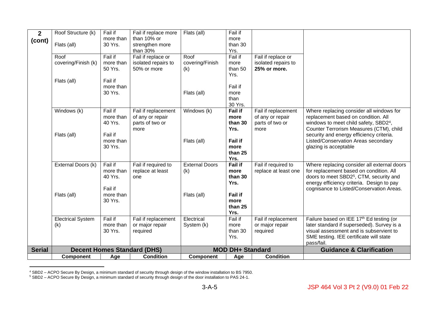| $\overline{2}$ | Roof Structure (k)       | Fail if   | Fail if replace more               | Flats (all)           | Fail if                 |                      |                                                                                 |
|----------------|--------------------------|-----------|------------------------------------|-----------------------|-------------------------|----------------------|---------------------------------------------------------------------------------|
| (cont)         |                          | more than | than 10% or                        |                       | more                    |                      |                                                                                 |
|                | Flats (all)              | 30 Yrs.   | strengthen more                    |                       | than 30                 |                      |                                                                                 |
|                |                          |           | than 30%                           |                       | Yrs.                    |                      |                                                                                 |
|                | Roof                     | Fail if   | Fail if replace or                 | Roof                  | Fail if                 | Fail if replace or   |                                                                                 |
|                | covering/Finish (k)      | more than | isolated repairs to                | covering/Finish       | more                    | isolated repairs to  |                                                                                 |
|                |                          | 50 Yrs.   | 50% or more                        | (k)                   | than 50                 | 25% or more.         |                                                                                 |
|                |                          |           |                                    |                       | Yrs.                    |                      |                                                                                 |
|                | Flats (all)              | Fail if   |                                    |                       |                         |                      |                                                                                 |
|                |                          | more than |                                    |                       | Fail if                 |                      |                                                                                 |
|                |                          | 30 Yrs.   |                                    | Flats (all)           | more                    |                      |                                                                                 |
|                |                          |           |                                    |                       | than                    |                      |                                                                                 |
|                |                          |           |                                    |                       | 30 Yrs.                 |                      |                                                                                 |
|                | Windows (k)              | Fail if   | Fail if replacement                | Windows (k)           | <b>Fail if</b>          | Fail if replacement  | Where replacing consider all windows for                                        |
|                |                          | more than | of any or repair                   |                       | more                    | of any or repair     | replacement based on condition. All                                             |
|                |                          | 40 Yrs.   | parts of two or                    |                       | than 30                 | parts of two or      | windows to meet child safety, SBD24,                                            |
|                |                          | Fail if   | more                               |                       | Yrs.                    | more                 | Counter Terrorism Measures (CTM), child                                         |
|                | Flats (all)              | more than |                                    |                       | <b>Fail if</b>          |                      | security and energy efficiency criteria.<br>Listed/Conservation Areas secondary |
|                |                          | 30 Yrs.   |                                    | Flats (all)           | more                    |                      | glazing is acceptable                                                           |
|                |                          |           |                                    |                       | than 25                 |                      |                                                                                 |
|                |                          |           |                                    |                       | Yrs.                    |                      |                                                                                 |
|                | External Doors (k)       | Fail if   | Fail if required to                | <b>External Doors</b> | <b>Fail if</b>          | Fail if required to  | Where replacing consider all external doors                                     |
|                |                          | more than | replace at least                   | (k)                   | more                    | replace at least one | for replacement based on condition. All                                         |
|                |                          | 40 Yrs.   | one                                |                       | than 30                 |                      | doors to meet SBD2 <sup>5</sup> , CTM, security and                             |
|                |                          |           |                                    |                       | Yrs.                    |                      | energy efficiency criteria. Design to pay                                       |
|                |                          | Fail if   |                                    |                       |                         |                      | cognisance to Listed/Conservation Areas.                                        |
|                | Flats (all)              | more than |                                    | Flats (all)           | <b>Fail if</b>          |                      |                                                                                 |
|                |                          | 30 Yrs.   |                                    |                       | more                    |                      |                                                                                 |
|                |                          |           |                                    |                       | than 25                 |                      |                                                                                 |
|                |                          |           |                                    |                       | Yrs.                    |                      |                                                                                 |
|                | <b>Electrical System</b> | Fail if   | Fail if replacement                | Electrical            | Fail if                 | Fail if replacement  | Failure based on IEE 17th Ed testing (or                                        |
|                | (k)                      | more than | or major repair                    | System (k)            | more                    | or major repair      | later standard if superseded). Survey is a                                      |
|                |                          | 30 Yrs.   | required                           |                       | than 30                 | required             | visual assessment and is subservient to                                         |
|                |                          |           |                                    |                       | Yrs.                    |                      | SME testing. IEE certificate will state                                         |
|                |                          |           |                                    |                       |                         |                      | pass/fail.                                                                      |
| <b>Serial</b>  |                          |           | <b>Decent Homes Standard (DHS)</b> |                       | <b>MOD DH+ Standard</b> |                      | <b>Guidance &amp; Clarification</b>                                             |
|                | <b>Component</b>         | Age       | <b>Condition</b>                   | <b>Component</b>      | Age                     | <b>Condition</b>     |                                                                                 |

<sup>4</sup> SBD2 – ACPO Secure By Design, a minimum standard of security through design of the window installation to BS 7950.

<sup>&</sup>lt;sup>5</sup> SBD2 – ACPO Secure By Design, a minimum standard of security through design of the door installation to PAS 24-1.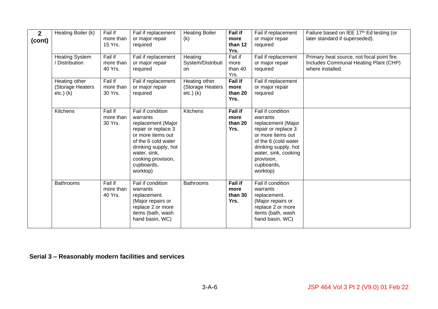| $2^{\circ}$<br>(cont) | Heating Boiler (k)                                  | Fail if<br>more than<br>15 Yrs.<br>Fail if | Fail if replacement<br>or major repair<br>required                                                                                                                                                             | <b>Heating Boiler</b><br>(k)                        | <b>Fail if</b><br>more<br>than 12<br>Yrs. | Fail if replacement<br>or major repair<br>required                                                                                                                                                              | Failure based on IEE 17th Ed testing (or<br>later standard if superseded).                              |
|-----------------------|-----------------------------------------------------|--------------------------------------------|----------------------------------------------------------------------------------------------------------------------------------------------------------------------------------------------------------------|-----------------------------------------------------|-------------------------------------------|-----------------------------------------------------------------------------------------------------------------------------------------------------------------------------------------------------------------|---------------------------------------------------------------------------------------------------------|
|                       | <b>Heating System</b><br>/ Distribution             | more than<br>40 Yrs.                       | Fail if replacement<br>or major repair<br>required                                                                                                                                                             | Heating<br>System/Distributi<br>on.                 | Fail if<br>more<br>than 40<br>Yrs.        | Fail if replacement<br>or major repair<br>required                                                                                                                                                              | Primary heat source, not focal point fire.<br>Includes Communal Heating Plant (CHP)<br>where installed. |
|                       | Heating other<br>(Storage Heaters<br>$etc.$ ) $(k)$ | Fail if<br>more than<br>30 Yrs.            | Fail if replacement<br>or major repair<br>required                                                                                                                                                             | Heating other<br>(Storage Heaters<br>$etc.$ ) $(k)$ | Fail if<br>more<br>than 20<br>Yrs.        | Fail if replacement<br>or major repair<br>required                                                                                                                                                              |                                                                                                         |
|                       | Kitchens                                            | Fail if<br>more than<br>30 Yrs.            | Fail if condition<br>warrants<br>replacement (Major<br>repair or replace 3<br>or more items out<br>of the 6 cold water<br>drinking supply, hot<br>water, sink,<br>cooking provision,<br>cupboards,<br>worktop) | Kitchens                                            | <b>Fail if</b><br>more<br>than 20<br>Yrs. | Fail if condition<br>warrants<br>replacement (Major<br>repair or replace 3<br>or more items out<br>of the 6 (cold water<br>drinking supply, hot<br>water, sink, cooking<br>provision,<br>cupboards,<br>worktop) |                                                                                                         |
|                       | <b>Bathrooms</b>                                    | Fail if<br>more than<br>40 Yrs.            | Fail if condition<br>warrants<br>replacement.<br>(Major repairs or<br>replace 2 or more<br>items (bath, wash<br>hand basin, WC)                                                                                | <b>Bathrooms</b>                                    | <b>Fail if</b><br>more<br>than 30<br>Yrs. | Fail if condition<br>warrants<br>replacement.<br>(Major repairs or<br>replace 2 or more<br>items (bath, wash<br>hand basin, WC)                                                                                 |                                                                                                         |

**Serial 3 – Reasonably modern facilities and services**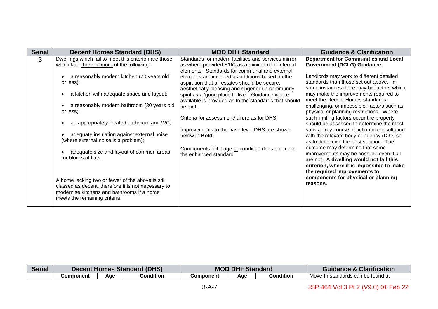| <b>Serial</b> | <b>Decent Homes Standard (DHS)</b>                                                                                                                                                                                                                          | <b>MOD DH+ Standard</b>                                                                                                                                                                                                                                                                                                                                                                                                      | <b>Guidance &amp; Clarification</b>                                                                                                                                                                                                                                                                                     |
|---------------|-------------------------------------------------------------------------------------------------------------------------------------------------------------------------------------------------------------------------------------------------------------|------------------------------------------------------------------------------------------------------------------------------------------------------------------------------------------------------------------------------------------------------------------------------------------------------------------------------------------------------------------------------------------------------------------------------|-------------------------------------------------------------------------------------------------------------------------------------------------------------------------------------------------------------------------------------------------------------------------------------------------------------------------|
| 3             | Dwellings which fail to meet this criterion are those<br>which lack three or more of the following:<br>a reasonably modern kitchen (20 years old<br>or less);<br>a kitchen with adequate space and layout;<br>a reasonably modern bathroom (30 years old    | Standards for modern facilities and services mirror<br>as where provided S1fC as a minimum for internal<br>elements. Standards for communal and external<br>elements are included as additions based on the<br>aspiration that all estates should be secure,<br>aesthetically pleasing and engender a community<br>spirit as a 'good place to live'. Guidance where<br>available is provided as to the standards that should | <b>Department for Communities and Local</b><br>Government (DCLG) Guidance.<br>Landlords may work to different detailed<br>standards than those set out above. In<br>some instances there may be factors which<br>may make the improvements required to<br>meet the Decent Homes standards'                              |
|               | or less);<br>an appropriately located bathroom and WC;<br>adequate insulation against external noise<br>(where external noise is a problem);                                                                                                                | be met.<br>Criteria for assessment/failure as for DHS.<br>Improvements to the base level DHS are shown<br>below in <b>Bold.</b>                                                                                                                                                                                                                                                                                              | challenging, or impossible, factors such as<br>physical or planning restrictions. Where<br>such limiting factors occur the property<br>should be assessed to determine the most<br>satisfactory course of action in consultation<br>with the relevant body or agency (DIO) so<br>as to determine the best solution. The |
|               | adequate size and layout of common areas<br>for blocks of flats.<br>A home lacking two or fewer of the above is still<br>classed as decent, therefore it is not necessary to<br>modernise kitchens and bathrooms if a home<br>meets the remaining criteria. | Components fail if age or condition does not meet<br>the enhanced standard.                                                                                                                                                                                                                                                                                                                                                  | outcome may determine that some<br>improvements may be possible even if all<br>are not. A dwelling would not fail this<br>criterion, where it is impossible to make<br>the required improvements to<br>components for physical or planning<br>reasons.                                                                  |

| <b>Serial</b> | Decent Homes Standard (DHS) |     |                  | <b>MOD DH+ Standard</b> |     |           | <b>Guidance &amp; Clarification</b> |
|---------------|-----------------------------|-----|------------------|-------------------------|-----|-----------|-------------------------------------|
|               | Component                   | Aae | <b>Condition</b> | Component               | Aae | Condition | Move-In standards can be found at   |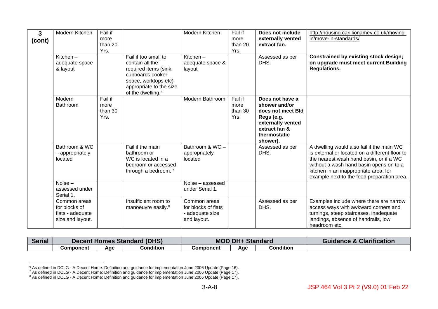| 3<br>(cont) | Modern Kitchen<br>Kitchen $-$                                                      | Fail if<br>more<br>than 20<br>Yrs. | Fail if too small to                                                                                                                             | Modern Kitchen<br>Kitchen $-$                                                            | Fail if<br>more<br>than 20<br>Yrs. | Does not include<br>externally vented<br>extract fan.<br>Assessed as per                                                              | http://housing.carillionamey.co.uk/moving-<br>in/move-in-standards/<br><b>Constrained by existing stock design;</b>                                                                                                                                                      |
|-------------|------------------------------------------------------------------------------------|------------------------------------|--------------------------------------------------------------------------------------------------------------------------------------------------|------------------------------------------------------------------------------------------|------------------------------------|---------------------------------------------------------------------------------------------------------------------------------------|--------------------------------------------------------------------------------------------------------------------------------------------------------------------------------------------------------------------------------------------------------------------------|
|             | adequate space<br>& layout                                                         |                                    | contain all the<br>required items (sink,<br>cupboards cooker<br>space, worktops etc)<br>appropriate to the size<br>of the dwelling. <sup>6</sup> | adequate space &<br>layout                                                               |                                    | DHS.                                                                                                                                  | on upgrade must meet current Building<br><b>Regulations.</b>                                                                                                                                                                                                             |
|             | Modern<br>Bathroom                                                                 | Fail if<br>more<br>than 30<br>Yrs. |                                                                                                                                                  | Modern Bathroom                                                                          | Fail if<br>more<br>than 30<br>Yrs. | Does not have a<br>shower and/or<br>does not meet Bld<br>Regs (e.g.<br>externally vented<br>extract fan &<br>thermostatic<br>shower). |                                                                                                                                                                                                                                                                          |
|             | Bathroom & WC<br>- appropriately<br>located<br>Noise-<br>assessed under            |                                    | Fail if the main<br>bathroom or<br>WC is located in a<br>bedroom or accessed<br>through a bedroom. <sup>7</sup>                                  | Bathroom & WC -<br>appropriately<br>located<br>Noise - assessed                          |                                    | Assessed as per<br>DHS.                                                                                                               | A dwelling would also fail if the main WC<br>is external or located on a different floor to<br>the nearest wash hand basin, or if a WC<br>without a wash hand basin opens on to a<br>kitchen in an inappropriate area, for<br>example next to the food preparation area. |
|             | Serial 1.<br>Common areas<br>for blocks of<br>flats - adequate<br>size and layout. |                                    | Insufficient room to<br>manoeuvre easily. <sup>8</sup>                                                                                           | under Serial 1.<br>Common areas<br>for blocks of flats<br>- adequate size<br>and layout. |                                    | Assessed as per<br>DHS.                                                                                                               | Examples include where there are narrow<br>access ways with awkward corners and<br>turnings, steep staircases, inadequate<br>landings, absence of handrails, low<br>headroom etc.                                                                                        |

| <b>Serial</b> |           | <b>Decent Homes Standard (DHS)</b> |                  |           | $MODDH+$ | <b>Standard</b> | <b>Guidance &amp; Clarification</b> |
|---------------|-----------|------------------------------------|------------------|-----------|----------|-----------------|-------------------------------------|
|               | Component | Aae                                | <b>Condition</b> | Component | Age      | Condition       |                                     |

<sup>&</sup>lt;sup>6</sup> As defined in DCLG - A Decent Home: Definition and guidance for implementation June 2006 Update (Page 16).

<sup>7</sup> As defined in DCLG - A Decent Home: Definition and guidance for implementation June 2006 Update (Page 17).

<sup>&</sup>lt;sup>8</sup> As defined in DCLG - A Decent Home: Definition and guidance for implementation June 2006 Update (Page 17).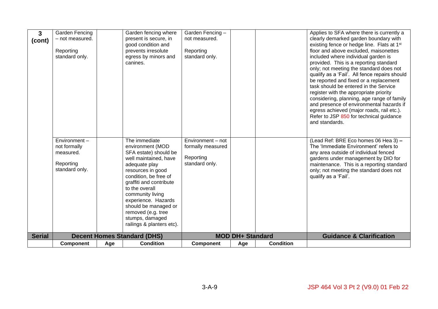| 3             | <b>Garden Fencing</b><br>- not measured.  |     | Garden fencing where<br>present is secure, in              | Garden Fencing -<br>not measured.      |                         |                  | Applies to SFA where there is currently a<br>clearly demarked garden boundary with                                                                                                                                                                                                                                                                                                                                                                                  |
|---------------|-------------------------------------------|-----|------------------------------------------------------------|----------------------------------------|-------------------------|------------------|---------------------------------------------------------------------------------------------------------------------------------------------------------------------------------------------------------------------------------------------------------------------------------------------------------------------------------------------------------------------------------------------------------------------------------------------------------------------|
| (cont)        |                                           |     | good condition and                                         |                                        |                         |                  | existing fence or hedge line. Flats at 1 <sup>st</sup>                                                                                                                                                                                                                                                                                                                                                                                                              |
|               | Reporting                                 |     | prevents irresolute                                        | Reporting                              |                         |                  | floor and above excluded, maisonettes                                                                                                                                                                                                                                                                                                                                                                                                                               |
|               | standard only.                            |     | egress by minors and                                       | standard only.                         |                         |                  | included where individual garden is                                                                                                                                                                                                                                                                                                                                                                                                                                 |
|               |                                           |     | canines.                                                   |                                        |                         |                  | provided. This is a reporting standard<br>only; not meeting the standard does not<br>qualify as a 'Fail'. All fence repairs should<br>be reported and fixed or a replacement<br>task should be entered in the Service<br>register with the appropriate priority<br>considering, planning, age range of family<br>and presence of environmental hazards if<br>egress achieved (major roads, rail etc.).<br>Refer to JSP 850 for technical guidance<br>and standards. |
|               | Environment-<br>not formally<br>measured. |     | The immediate<br>environment (MOD<br>SFA estate) should be | Environment - not<br>formally measured |                         |                  | (Lead Ref: BRE Eco homes 06 Hea 3) -<br>The 'Immediate Environment' refers to<br>any area outside of individual fenced                                                                                                                                                                                                                                                                                                                                              |
|               |                                           |     | well maintained, have                                      | Reporting                              |                         |                  | gardens under management by DIO for                                                                                                                                                                                                                                                                                                                                                                                                                                 |
|               | Reporting                                 |     | adequate play                                              | standard only.                         |                         |                  | maintenance. This is a reporting standard                                                                                                                                                                                                                                                                                                                                                                                                                           |
|               | standard only.                            |     | resources in good<br>condition, be free of                 |                                        |                         |                  | only; not meeting the standard does not<br>qualify as a 'Fail'.                                                                                                                                                                                                                                                                                                                                                                                                     |
|               |                                           |     | graffiti and contribute                                    |                                        |                         |                  |                                                                                                                                                                                                                                                                                                                                                                                                                                                                     |
|               |                                           |     | to the overall                                             |                                        |                         |                  |                                                                                                                                                                                                                                                                                                                                                                                                                                                                     |
|               |                                           |     | community living<br>experience. Hazards                    |                                        |                         |                  |                                                                                                                                                                                                                                                                                                                                                                                                                                                                     |
|               |                                           |     | should be managed or                                       |                                        |                         |                  |                                                                                                                                                                                                                                                                                                                                                                                                                                                                     |
|               |                                           |     | removed (e.g. tree                                         |                                        |                         |                  |                                                                                                                                                                                                                                                                                                                                                                                                                                                                     |
|               |                                           |     | stumps, damaged<br>railings & planters etc).               |                                        |                         |                  |                                                                                                                                                                                                                                                                                                                                                                                                                                                                     |
|               |                                           |     |                                                            |                                        |                         |                  |                                                                                                                                                                                                                                                                                                                                                                                                                                                                     |
| <b>Serial</b> |                                           |     | <b>Decent Homes Standard (DHS)</b>                         |                                        | <b>MOD DH+ Standard</b> |                  | <b>Guidance &amp; Clarification</b>                                                                                                                                                                                                                                                                                                                                                                                                                                 |
|               | <b>Component</b>                          | Age | <b>Condition</b>                                           | <b>Component</b>                       | Age                     | <b>Condition</b> |                                                                                                                                                                                                                                                                                                                                                                                                                                                                     |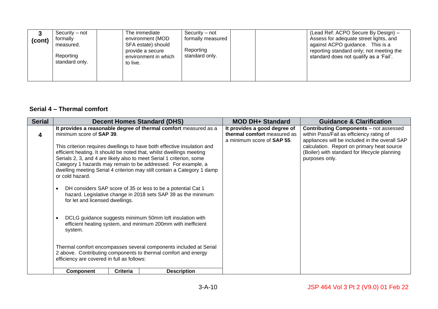| (cont) | Security – not<br>formally<br>measured.<br>Reporting<br>standard only. | The immediate<br>environment (MOD<br>SFA estate) should<br>provide a secure<br>environment in which<br>to live. | Security – not<br>formally measured<br>Reporting<br>standard only. | (Lead Ref: ACPO Secure By Design) -<br>Assess for adequate street lights, and<br>against ACPO guidance. This is a<br>reporting standard only; not meeting the<br>standard does not qualify as a 'Fail'. |
|--------|------------------------------------------------------------------------|-----------------------------------------------------------------------------------------------------------------|--------------------------------------------------------------------|---------------------------------------------------------------------------------------------------------------------------------------------------------------------------------------------------------|
|        |                                                                        |                                                                                                                 |                                                                    |                                                                                                                                                                                                         |

#### **Serial 4 – Thermal comfort**

| <b>Serial</b> |                                                                                                    | <b>Decent Homes Standard (DHS)</b>                                                                                                                                                                                                                                                                                                                                                                                                                                                                                                                                       | <b>MOD DH+ Standard</b>                                                                           | <b>Guidance &amp; Clarification</b>                                                                                                                                                                                                                          |
|---------------|----------------------------------------------------------------------------------------------------|--------------------------------------------------------------------------------------------------------------------------------------------------------------------------------------------------------------------------------------------------------------------------------------------------------------------------------------------------------------------------------------------------------------------------------------------------------------------------------------------------------------------------------------------------------------------------|---------------------------------------------------------------------------------------------------|--------------------------------------------------------------------------------------------------------------------------------------------------------------------------------------------------------------------------------------------------------------|
| 4             | minimum score of <b>SAP 39.</b><br>or cold hazard.<br>$\bullet$<br>for let and licensed dwellings. | It provides a reasonable degree of thermal comfort measured as a<br>This criterion requires dwellings to have both effective insulation and<br>efficient heating. It should be noted that, whilst dwellings meeting<br>Serials 2, 3, and 4 are likely also to meet Serial 1 criterion, some<br>Category 1 hazards may remain to be addressed. For example, a<br>dwelling meeting Serial 4 criterion may still contain a Category 1 damp<br>DH considers SAP score of 35 or less to be a potential Cat 1<br>hazard. Legislative change in 2018 sets SAP 39 as the minimum | It provides a good degree of<br>thermal comfort measured as<br>a minimum score of <b>SAP 55</b> . | <b>Contributing Components</b> – not assessed<br>within Pass/Fail as efficiency rating of<br>appliances will be included in the overall SAP<br>calculation. Report on primary heat source<br>(Boiler) with standard for lifecycle planning<br>purposes only. |
|               | $\bullet$<br>system.<br>efficiency are covered in full as follows:                                 | DCLG guidance suggests minimum 50mm loft insulation with<br>efficient heating system, and minimum 200mm with inefficient<br>Thermal comfort encompasses several components included at Serial<br>2 above. Contributing components to thermal comfort and energy                                                                                                                                                                                                                                                                                                          |                                                                                                   |                                                                                                                                                                                                                                                              |
|               | Component                                                                                          | <b>Criteria</b><br><b>Description</b>                                                                                                                                                                                                                                                                                                                                                                                                                                                                                                                                    |                                                                                                   |                                                                                                                                                                                                                                                              |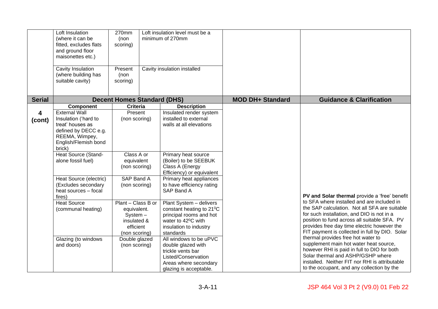|                         | Loft Insulation<br>(where it can be<br>fitted, excludes flats<br>and ground floor<br>maisonettes etc.)<br>Cavity Insulation<br>(where building has<br>suitable cavity) | 270mm<br>(non<br>scoring)<br>Present<br>(non<br>scoring) | Loft insulation level must be a<br>minimum of 270mm<br>Cavity insulation installed |                         |                                                                                            |
|-------------------------|------------------------------------------------------------------------------------------------------------------------------------------------------------------------|----------------------------------------------------------|------------------------------------------------------------------------------------|-------------------------|--------------------------------------------------------------------------------------------|
| <b>Serial</b>           |                                                                                                                                                                        | <b>Decent Homes Standard (DHS)</b>                       |                                                                                    | <b>MOD DH+ Standard</b> | <b>Guidance &amp; Clarification</b>                                                        |
|                         | Component                                                                                                                                                              | <b>Criteria</b>                                          | <b>Description</b>                                                                 |                         |                                                                                            |
|                         | <b>External Wall</b>                                                                                                                                                   | Present                                                  | Insulated render system                                                            |                         |                                                                                            |
| $\overline{\mathbf{4}}$ | Insulation ('hard to                                                                                                                                                   | (non scoring)                                            | installed to external                                                              |                         |                                                                                            |
| (cont)                  | treat' houses as                                                                                                                                                       |                                                          | walls at all elevations                                                            |                         |                                                                                            |
|                         | defined by DECC e.g.                                                                                                                                                   |                                                          |                                                                                    |                         |                                                                                            |
|                         | REEMA, Wimpey,                                                                                                                                                         |                                                          |                                                                                    |                         |                                                                                            |
|                         | English/Flemish bond                                                                                                                                                   |                                                          |                                                                                    |                         |                                                                                            |
|                         | brick)                                                                                                                                                                 |                                                          |                                                                                    |                         |                                                                                            |
|                         | Heat Source (Stand-                                                                                                                                                    | Class A or                                               | Primary heat source                                                                |                         |                                                                                            |
|                         | alone fossil fuel)                                                                                                                                                     | equivalent                                               | (Boiler) to be SEEBUK                                                              |                         |                                                                                            |
|                         |                                                                                                                                                                        | (non scoring)                                            | Class A (Energy<br>Efficiency) or equivalent                                       |                         |                                                                                            |
|                         | Heat Source (electric)                                                                                                                                                 | SAP Band A                                               | Primary heat appliances                                                            |                         |                                                                                            |
|                         | (Excludes secondary                                                                                                                                                    | (non scoring)                                            | to have efficiency rating                                                          |                         |                                                                                            |
|                         | heat sources - focal                                                                                                                                                   |                                                          | SAP Band A                                                                         |                         |                                                                                            |
|                         | fires)                                                                                                                                                                 |                                                          |                                                                                    |                         | PV and Solar thermal provide a 'free' benefit                                              |
|                         | <b>Heat Source</b>                                                                                                                                                     | Plant - Class B or                                       | Plant System - delivers                                                            |                         | to SFA where installed and are included in                                                 |
|                         | (communal heating)                                                                                                                                                     | equivalent.                                              | constant heating to 21°C                                                           |                         | the SAP calculation. Not all SFA are suitable                                              |
|                         |                                                                                                                                                                        | System-                                                  | principal rooms and hot                                                            |                         | for such installation, and DIO is not in a<br>position to fund across all suitable SFA. PV |
|                         |                                                                                                                                                                        | insulated &<br>efficient                                 | water to 42 <sup>o</sup> C with                                                    |                         | provides free day time electric however the                                                |
|                         |                                                                                                                                                                        | (non scoring)                                            | insulation to industry<br>standards                                                |                         | FIT payment is collected in full by DIO. Solar                                             |
|                         | Glazing (to windows                                                                                                                                                    | Double glazed                                            | All windows to be uPVC                                                             |                         | thermal provides free hot water to                                                         |
|                         | and doors)                                                                                                                                                             | (non scoring)                                            | double glazed with                                                                 |                         | supplement main hot water heat source,                                                     |
|                         |                                                                                                                                                                        |                                                          | trickle vents bar                                                                  |                         | however RHI is paid in full to DIO for both                                                |
|                         |                                                                                                                                                                        |                                                          | Listed/Conservation                                                                |                         | Solar thermal and ASHP/GSHP where                                                          |
|                         |                                                                                                                                                                        |                                                          | Areas where secondary                                                              |                         | installed. Neither FIT nor RHI is attributable                                             |
|                         |                                                                                                                                                                        |                                                          | glazing is acceptable.                                                             |                         | to the occupant, and any collection by the                                                 |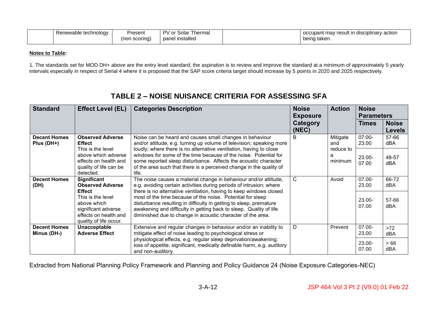| Present<br>technology<br>Renewable |                           | D\/<br>∈or Solar⊹<br>™hermal |  | actior<br>′ result ır<br>occupant<br>disciplinary<br>. mav |  |
|------------------------------------|---------------------------|------------------------------|--|------------------------------------------------------------|--|
|                                    | ı scoring)<br>non)<br>. . | panel installed              |  | being taken.                                               |  |

#### **Notes to Table:**

1. The standards set for MOD DH+ above are the entry level standard; the aspiration is to review and improve the standard at a minimum of approximately 5 yearly intervals especially in respect of Serial 4 where it is proposed that the SAP score criteria target should increase by 5 points in 2020 and 2025 respectively.

| <b>Standard</b>                    | <b>Effect Level (EL)</b>                                                                                                    | <b>Categories Description</b>                                                                                                                                                                                                                                                                                                               | <b>Noise</b><br><b>Exposure</b> | <b>Action</b>                | <b>Noise</b><br><b>Parameters</b> |                               |
|------------------------------------|-----------------------------------------------------------------------------------------------------------------------------|---------------------------------------------------------------------------------------------------------------------------------------------------------------------------------------------------------------------------------------------------------------------------------------------------------------------------------------------|---------------------------------|------------------------------|-----------------------------------|-------------------------------|
|                                    |                                                                                                                             |                                                                                                                                                                                                                                                                                                                                             | Category<br>(NEC)               |                              | <b>Times</b>                      | <b>Noise</b><br><b>Levels</b> |
| <b>Decent Homes</b><br>Plus (DH+)  | <b>Observed Adverse</b><br><b>Effect</b><br>This is the level                                                               | Noise can be heard and causes small changes in behaviour<br>and/or attitude, e.g. turning up volume of television; speaking more<br>loudly; where there is no alternative ventilation, having to close                                                                                                                                      | B                               | Mitigate<br>and<br>reduce to | 07:00-<br>23.00                   | 57-66<br><b>dBA</b>           |
|                                    | above which adverse<br>effects on health and<br>quality of life can be<br>detected.                                         | windows for some of the time because of the noise. Potential for<br>some reported sleep disturbance. Affects the acoustic character<br>of the area such that there is a perceived change in the quality of<br>life.                                                                                                                         |                                 | a<br>minimum                 | 23.00-<br>07.00                   | 48-57<br>dBA                  |
| <b>Decent Homes</b><br>(DH)        | Significant<br><b>Observed Adverse</b>                                                                                      | The noise causes a material change in behaviour and/or attitude,<br>e.g. avoiding certain activities during periods of intrusion; where                                                                                                                                                                                                     | C                               | Avoid                        | $07.00 -$<br>23.00                | 66-72<br>dBA                  |
|                                    | <b>Effect</b><br>This is the level<br>above which<br>significant adverse<br>effects on health and<br>quality of life occur. | there is no alternative ventilation, having to keep windows closed<br>most of the time because of the noise. Potential for sleep<br>disturbance resulting in difficulty in getting to sleep, premature<br>awakening and difficulty in getting back to sleep. Quality of life<br>diminished due to change in acoustic character of the area. |                                 |                              | 23.00-<br>07.00                   | 57-66<br><b>dBA</b>           |
| <b>Decent Homes</b><br>Minus (DH-) | Unacceptable<br><b>Adverse Effect</b>                                                                                       | Extensive and regular changes in behaviour and/or an inability to<br>mitigate effect of noise leading to psychological stress or                                                                                                                                                                                                            | D                               | Prevent                      | 07.00-<br>23.00                   | $>72$<br>dBA                  |
|                                    |                                                                                                                             | physiological effects, e.g. regular sleep deprivation/awakening;<br>loss of appetite, significant, medically definable harm, e.g. auditory<br>and non-auditory.                                                                                                                                                                             |                                 |                              | 23.00-<br>07.00                   | >66<br>dBA                    |

## **TABLE 2 – NOISE NUISANCE CRITERIA FOR ASSESSING SFA**

Extracted from National Planning Policy Framework and Planning and Policy Guidance 24 (Noise Exposure Categories-NEC)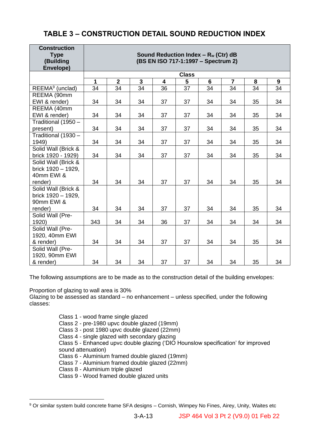## **TABLE 3 – CONSTRUCTION DETAIL SOUND REDUCTION INDEX**

| <b>Construction</b><br><b>Type</b><br>(Building<br>Envelope) |             |                |              |                         | Sound Reduction Index - $R_w$ (Ctr) dB<br>(BS EN ISO 717-1:1997 - Spectrum 2) |    |                |    |    |
|--------------------------------------------------------------|-------------|----------------|--------------|-------------------------|-------------------------------------------------------------------------------|----|----------------|----|----|
|                                                              |             |                |              |                         | <b>Class</b>                                                                  |    |                |    |    |
|                                                              | $\mathbf 1$ | $\overline{2}$ | $\mathbf{3}$ | $\overline{\mathbf{4}}$ | 5                                                                             | 6  | $\overline{7}$ | 8  | 9  |
| REEMA <sup>9</sup> (unclad)                                  | 34          | 34             | 34           | 36                      | 37                                                                            | 34 | 34             | 34 | 34 |
| REEMA (90mm                                                  |             |                |              |                         |                                                                               |    |                |    |    |
| EWI & render)                                                | 34          | 34             | 34           | 37                      | 37                                                                            | 34 | 34             | 35 | 34 |
| REEMA (40mm                                                  |             |                |              |                         |                                                                               |    |                |    |    |
| EWI & render)                                                | 34          | 34             | 34           | 37                      | 37                                                                            | 34 | 34             | 35 | 34 |
| Traditional (1950 -                                          |             |                |              |                         |                                                                               |    |                |    |    |
| present)                                                     | 34          | 34             | 34           | 37                      | 37                                                                            | 34 | 34             | 35 | 34 |
| Traditional (1930 -                                          |             |                |              |                         |                                                                               |    |                |    |    |
| 1949)                                                        | 34          | 34             | 34           | 37                      | 37                                                                            | 34 | 34             | 35 | 34 |
| Solid Wall (Brick &                                          |             |                |              |                         |                                                                               |    |                |    |    |
| brick 1920 - 1929)                                           | 34          | 34             | 34           | 37                      | 37                                                                            | 34 | 34             | 35 | 34 |
| Solid Wall (Brick &                                          |             |                |              |                         |                                                                               |    |                |    |    |
| brick 1920 - 1929,                                           |             |                |              |                         |                                                                               |    |                |    |    |
| 40mm EWI &                                                   |             |                |              |                         |                                                                               |    |                |    |    |
| render)                                                      | 34          | 34             | 34           | 37                      | 37                                                                            | 34 | 34             | 35 | 34 |
| Solid Wall (Brick &                                          |             |                |              |                         |                                                                               |    |                |    |    |
| brick 1920 - 1929,                                           |             |                |              |                         |                                                                               |    |                |    |    |
| 90mm EWI &                                                   |             |                |              |                         |                                                                               |    |                |    |    |
| render)                                                      | 34          | 34             | 34           | 37                      | 37                                                                            | 34 | 34             | 35 | 34 |
| Solid Wall (Pre-                                             |             |                |              |                         |                                                                               |    |                |    |    |
| 1920)                                                        | 343         | 34             | 34           | 36                      | 37                                                                            | 34 | 34             | 34 | 34 |
| Solid Wall (Pre-                                             |             |                |              |                         |                                                                               |    |                |    |    |
| 1920, 40mm EWI                                               |             |                |              |                         |                                                                               |    |                |    |    |
| & render)                                                    | 34          | 34             | 34           | 37                      | 37                                                                            | 34 | 34             | 35 | 34 |
| Solid Wall (Pre-                                             |             |                |              |                         |                                                                               |    |                |    |    |
| 1920, 90mm EWI                                               |             |                |              |                         |                                                                               |    |                |    |    |
| & render)                                                    | 34          | 34             | 34           | 37                      | 37                                                                            | 34 | 34             | 35 | 34 |

The following assumptions are to be made as to the construction detail of the building envelopes:

Proportion of glazing to wall area is 30%

Glazing to be assessed as standard – no enhancement – unless specified, under the following classes:

> Class 1 - wood frame single glazed Class 2 - pre-1980 upvc double glazed (19mm) Class 3 - post 1980 upvc double glazed (22mm) Class 4 - single glazed with secondary glazing Class 5 - Enhanced upvc double glazing ('DIO Hounslow specification' for improved sound attenuation) Class 6 - Aluminium framed double glazed (19mm) Class 7 - Aluminium framed double glazed (22mm) Class 8 - Aluminium triple glazed

Class 9 - Wood framed double glazed units

<sup>9</sup> Or similar system build concrete frame SFA designs – Cornish, Wimpey No Fines, Airey, Unity, Waites etc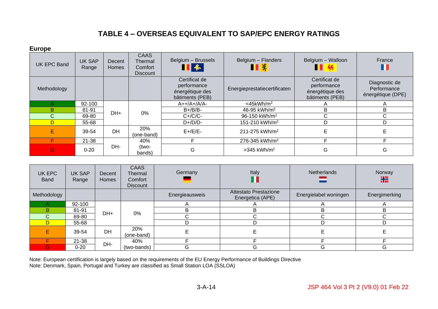## **TABLE 4 – OVERSEAS EQUIVALENT TO SAP/EPC ENERGY RATINGS**

**Europe**

| - u i v pv         |                        |                 |                                                      |                                                                    |                                  |                                                                    |                                                   |
|--------------------|------------------------|-----------------|------------------------------------------------------|--------------------------------------------------------------------|----------------------------------|--------------------------------------------------------------------|---------------------------------------------------|
| <b>UK EPC Band</b> | <b>UK SAP</b><br>Range | Decent<br>Homes | <b>CAAS</b><br>Thermal<br>Comfort<br><b>Discount</b> | Belgium - Brussels<br>$\blacksquare$ &                             | Belgium - Flanders<br><b>TEX</b> | Belgium - Walloon<br>Ш                                             | France                                            |
| Methodology        |                        |                 |                                                      | Certificat de<br>performance<br>énergétique des<br>bâtiments (PEB) | Energieprestatiecertificaten     | Certificat de<br>performance<br>énergétique des<br>bâtiments (PEB) | Diagnostic de<br>Performance<br>énergétique (DPE) |
| Α                  | 92-100                 |                 |                                                      | $A++/A+/A/A-$                                                      | $<$ 45kWh/m <sup>2</sup>         |                                                                    |                                                   |
| B                  | 81-91                  | DH+             | 0%                                                   | $B+/B/B-$                                                          | 46-95 kWh/m <sup>2</sup>         | B                                                                  | B                                                 |
| $\mathsf{C}$       | 69-80                  |                 |                                                      | $C+$ / $C$ / $C-$                                                  | 96-150 kWh/m <sup>2</sup>        | $\mathsf{C}$                                                       | ⌒<br>U                                            |
| D                  | 55-68                  |                 |                                                      | $D+/D/D-$                                                          | 151-210 kWh/m <sup>2</sup>       | D                                                                  | D                                                 |
| E                  | 39-54                  | <b>DH</b>       | 20%<br>(one-band)                                    | $E+/E/E-$                                                          | 211-275 kWh/m <sup>2</sup>       | E                                                                  |                                                   |
| F                  | $21 - 38$              |                 | 40%                                                  |                                                                    | 276-345 kWh/m <sup>2</sup>       |                                                                    |                                                   |
| G                  | $0 - 20$               | DH-             | (two-<br>bands)                                      | G                                                                  | $>345$ kWh/m <sup>2</sup>        | G                                                                  | G                                                 |

| UK EPC<br><b>Band</b> | <b>UK SAP</b><br>Range | Decent<br>Homes | <b>CAAS</b><br>Thermal<br>Comfort<br><b>Discount</b> | Germany        | Italy                                     | Netherlands           | Norway<br>҉   |
|-----------------------|------------------------|-----------------|------------------------------------------------------|----------------|-------------------------------------------|-----------------------|---------------|
| Methodology           |                        |                 |                                                      | Energieausweis | Attestato Prestazione<br>Energetica (APE) | Energielabel woningen | Energimerking |
|                       | 92-100                 |                 |                                                      |                |                                           |                       |               |
| B                     | 81-91                  | DH+             | 0%                                                   | B              | B.                                        | n.                    | n.            |
| $\mathsf{C}$          | 69-80                  |                 |                                                      | C              |                                           |                       |               |
|                       | 55-68                  |                 |                                                      | D              | D                                         |                       |               |
|                       | 39-54                  | DH              | 20%<br>(one-band)                                    |                |                                           |                       |               |
|                       | $21 - 38$              | DH-             | 40%                                                  |                |                                           |                       |               |
| G                     | $0 - 20$               |                 | (two-bands)                                          | G              | G                                         | G                     | G             |

Note: European certification is largely based on the requirements of the EU Energy Performance of Buildings Directive Note: Denmark, Spain, Portugal and Turkey are classified as Small Station LOA (SSLOA)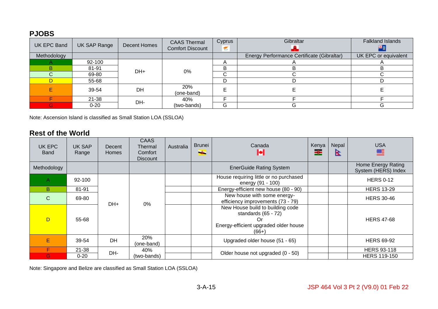## **PJOBS**

| <b>UK EPC Band</b> | UK SAP Range | Decent Homes | <b>CAAS Thermal</b><br><b>Comfort Discount</b> | Cyprus<br>€ | Gibraltar                                  | <b>Falkland Islands</b> |
|--------------------|--------------|--------------|------------------------------------------------|-------------|--------------------------------------------|-------------------------|
| Methodology        |              |              |                                                |             | Energy Performance Certificate (Gibraltar) | UK EPC or equivalent    |
|                    | 92-100       | DH+          |                                                |             |                                            |                         |
| B.                 | 81-91        |              | 0%                                             | в           |                                            |                         |
|                    | 69-80        |              |                                                | ⌒<br>U      |                                            |                         |
| D                  | 55-68        |              |                                                | D           |                                            |                         |
|                    | 39-54        | <b>DH</b>    | 20%<br>(one-band)                              |             |                                            |                         |
|                    | $21 - 38$    | DH-          | 40%                                            |             |                                            |                         |
| G.                 | $0 - 20$     |              | (two-bands)                                    | G           |                                            | G                       |

Note: Ascension Island is classified as Small Station LOA (SSLOA)

#### **Rest of the World**

| UK EPC<br><b>Band</b> | UK SAP<br>Range | Decent<br><b>Homes</b> | <b>CAAS</b><br>Thermal<br>Comfort<br><b>Discount</b> | Australia | <b>Brunei</b><br>÷                                               | Canada                                                                                                        | Kenya<br>ᆴ | Nepal<br>в        | <b>USA</b><br>≝                           |
|-----------------------|-----------------|------------------------|------------------------------------------------------|-----------|------------------------------------------------------------------|---------------------------------------------------------------------------------------------------------------|------------|-------------------|-------------------------------------------|
| Methodology           |                 |                        |                                                      |           |                                                                  | <b>EnerGuide Rating System</b>                                                                                |            |                   | Home Energy Rating<br>System (HERS) Index |
| $\mathsf{A}$          | $92 - 100$      |                        |                                                      |           |                                                                  | House requiring little or no purchased<br>energy (91 - 100)                                                   |            |                   | <b>HERS 0-12</b>                          |
| B.                    | 81-91           |                        |                                                      |           |                                                                  | Energy-efficient new house (80 - 90)                                                                          |            |                   | <b>HERS 13-29</b>                         |
| $\mathcal{C}$         | 69-80           | DH+<br>$0\%$           |                                                      |           | New house with some energy-<br>efficiency improvements (73 - 79) |                                                                                                               |            | <b>HERS 30-46</b> |                                           |
| D                     | 55-68           |                        |                                                      |           |                                                                  | New House build to building code<br>standards $(65 - 72)$<br>Energy-efficient upgraded older house<br>$(66+)$ |            |                   | <b>HERS 47-68</b>                         |
| Е                     | 39-54           | <b>DH</b>              | 20%<br>(one-band)                                    |           |                                                                  | Upgraded older house (51 - 65)                                                                                |            |                   | <b>HERS 69-92</b>                         |
| F                     | 21-38           | DH-                    | 40%                                                  |           |                                                                  | Older house not upgraded (0 - 50)                                                                             |            |                   | <b>HERS 93-118</b>                        |
| G.                    | $0 - 20$        |                        | (two-bands)                                          |           |                                                                  |                                                                                                               |            |                   | <b>HERS 119-150</b>                       |

Note: Singapore and Belize are classified as Small Station LOA (SSLOA)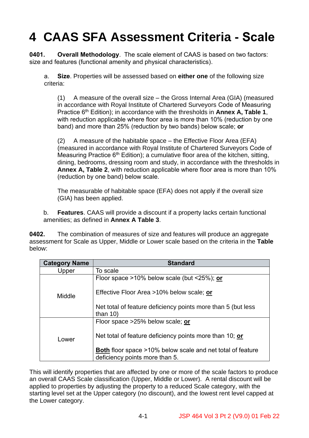# **4 CAAS SFA Assessment Criteria - Scale**

**0401. Overall Methodology**. The scale element of CAAS is based on two factors: size and features (functional amenity and physical characteristics).

a. **Size**. Properties will be assessed based on **either one** of the following size criteria:

(1) A measure of the overall size – the Gross Internal Area (GIA) (measured in accordance with Royal Institute of Chartered Surveyors Code of Measuring Practice 6th Edition); in accordance with the thresholds in **Annex A, Table 1**, with reduction applicable where floor area is more than 10% (reduction by one band) and more than 25% (reduction by two bands) below scale; **or**

(2) A measure of the habitable space – the Effective Floor Area (EFA) (measured in accordance with Royal Institute of Chartered Surveyors Code of Measuring Practice  $6<sup>th</sup>$  Edition); a cumulative floor area of the kitchen, sitting, dining, bedrooms, dressing room and study, in accordance with the thresholds in **Annex A, Table 2**, with reduction applicable where floor area is more than 10% (reduction by one band) below scale.

The measurable of habitable space (EFA) does not apply if the overall size (GIA) has been applied.

b. **Features**. CAAS will provide a discount if a property lacks certain functional amenities; as defined in **Annex A Table 3**.

**0402.** The combination of measures of size and features will produce an aggregate assessment for Scale as Upper, Middle or Lower scale based on the criteria in the **Table**  below:

| <b>Category Name</b> | <b>Standard</b>                                                                                     |
|----------------------|-----------------------------------------------------------------------------------------------------|
| Upper                | To scale                                                                                            |
|                      | Floor space >10% below scale (but <25%); or                                                         |
| Middle               | Effective Floor Area >10% below scale; or                                                           |
|                      | Net total of feature deficiency points more than 5 (but less<br>than $10$                           |
|                      | Floor space >25% below scale; or                                                                    |
| Lower                | Net total of feature deficiency points more than 10; or                                             |
|                      | <b>Both</b> floor space >10% below scale and net total of feature<br>deficiency points more than 5. |

This will identify properties that are affected by one or more of the scale factors to produce an overall CAAS Scale classification (Upper, Middle or Lower). A rental discount will be applied to properties by adjusting the property to a reduced Scale category, with the starting level set at the Upper category (no discount), and the lowest rent level capped at the Lower category.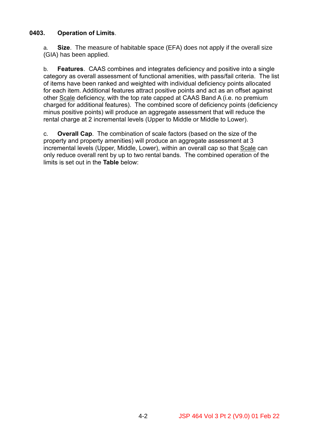#### **0403. Operation of Limits**.

a. **Size**. The measure of habitable space (EFA) does not apply if the overall size (GIA) has been applied.

b. **Features**. CAAS combines and integrates deficiency and positive into a single category as overall assessment of functional amenities, with pass/fail criteria. The list of items have been ranked and weighted with individual deficiency points allocated for each item. Additional features attract positive points and act as an offset against other Scale deficiency, with the top rate capped at CAAS Band A (i.e. no premium charged for additional features). The combined score of deficiency points (deficiency minus positive points) will produce an aggregate assessment that will reduce the rental charge at 2 incremental levels (Upper to Middle or Middle to Lower).

c. **Overall Cap**. The combination of scale factors (based on the size of the property and property amenities) will produce an aggregate assessment at 3 incremental levels (Upper, Middle, Lower), within an overall cap so that Scale can only reduce overall rent by up to two rental bands. The combined operation of the limits is set out in the **Table** below: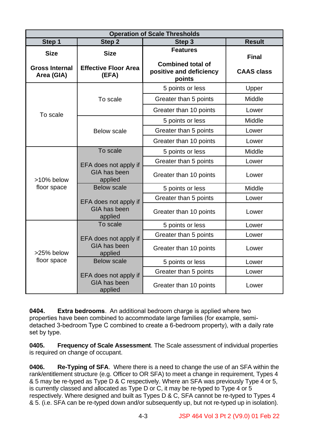|                                                    |                                                     | <b>Operation of Scale Thresholds</b>                                             |                                   |
|----------------------------------------------------|-----------------------------------------------------|----------------------------------------------------------------------------------|-----------------------------------|
| Step 1                                             | Step 2                                              | Step 3                                                                           | <b>Result</b>                     |
| <b>Size</b><br><b>Gross Internal</b><br>Area (GIA) | <b>Size</b><br><b>Effective Floor Area</b><br>(EFA) | <b>Features</b><br><b>Combined total of</b><br>positive and deficiency<br>points | <b>Final</b><br><b>CAAS class</b> |
|                                                    |                                                     | 5 points or less                                                                 | Upper                             |
|                                                    | To scale                                            | Greater than 5 points                                                            | Middle                            |
|                                                    |                                                     | Greater than 10 points                                                           | Lower                             |
| To scale                                           |                                                     | 5 points or less                                                                 | Middle                            |
|                                                    | <b>Below scale</b>                                  | Greater than 5 points                                                            | Lower                             |
|                                                    |                                                     | Greater than 10 points                                                           | Lower                             |
|                                                    | To scale                                            | 5 points or less                                                                 | Middle                            |
|                                                    | EFA does not apply if                               | Greater than 5 points                                                            | Lower                             |
| >10% below                                         | GIA has been<br>applied                             | Greater than 10 points                                                           | Lower                             |
| floor space                                        | <b>Below scale</b>                                  | 5 points or less                                                                 | Middle                            |
|                                                    | EFA does not apply if                               | Greater than 5 points                                                            | Lower                             |
|                                                    | GIA has been<br>applied                             | Greater than 10 points                                                           | Lower                             |
|                                                    | To scale                                            | 5 points or less                                                                 | Lower                             |
|                                                    | EFA does not apply if                               | Greater than 5 points                                                            | Lower                             |
| >25% below                                         | GIA has been<br>applied                             | Greater than 10 points                                                           | Lower                             |
| floor space                                        | <b>Below scale</b>                                  | 5 points or less                                                                 | Lower                             |
|                                                    | EFA does not apply if                               | Greater than 5 points                                                            | Lower                             |
|                                                    | GIA has been<br>applied                             | Greater than 10 points                                                           | Lower                             |

**0404. Extra bedrooms**. An additional bedroom charge is applied where two properties have been combined to accommodate large families (for example, semidetached 3-bedroom Type C combined to create a 6-bedroom property), with a daily rate set by type.

**0405. Frequency of Scale Assessment**. The Scale assessment of individual properties is required on change of occupant.

**0406. Re-Typing of SFA**. Where there is a need to change the use of an SFA within the rank/entitlement structure (e.g. Officer to OR SFA) to meet a change in requirement, Types 4 & 5 may be re-typed as Type D & C respectively. Where an SFA was previously Type 4 or 5, is currently classed and allocated as Type D or C, it may be re-typed to Type 4 or 5 respectively. Where designed and built as Types D & C, SFA cannot be re-typed to Types 4 & 5. (i.e. SFA can be re-typed down and/or subsequently up, but not re-typed up in isolation).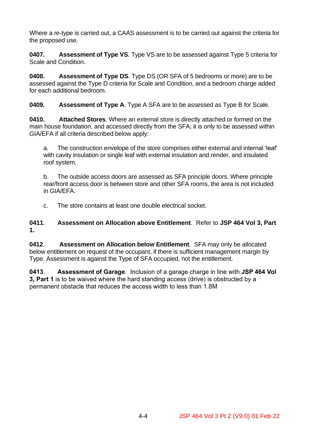Where a re-type is carried out, a CAAS assessment is to be carried out against the criteria for the proposed use.

**0407. Assessment of Type VS**. Type VS are to be assessed against Type 5 criteria for Scale and Condition.

**0408. Assessment of Type DS**. Type DS (OR SFA of 5 bedrooms or more) are to be assessed against the Type D criteria for Scale and Condition, and a bedroom charge added for each additional bedroom.

**0409. Assessment of Type A**. Type A SFA are to be assessed as Type B for Scale.

**0410. Attached Stores**. Where an external store is directly attached or formed on the main house foundation, and accessed directly from the SFA, it is only to be assessed within GIA/EFA if all criteria described below apply:

a. The construction envelope of the store comprises either external and internal 'leaf' with cavity insulation or single leaf with external insulation and render, and insulated roof system.

b. The outside access doors are assessed as SFA principle doors. Where principle rear/front access door is between store and other SFA rooms, the area is not included in GIA/EFA.

c. The store contains at least one double electrical socket.

**0411**. **Assessment on Allocation above Entitlement**. Refer to **JSP 464 Vol 3, Part 1.**

**0412**. **Assessment on Allocation below Entitlement**. SFA may only be allocated below entitlement on request of the occupant, if there is sufficient management margin by Type. Assessment is against the Type of SFA occupied, not the entitlement.

**0413**. **Assessment of Garage**. Inclusion of a garage charge in line with **JSP 464 Vol 3, Part 1** is to be waived where the hard standing access (drive) is obstructed by a permanent obstacle that reduces the access width to less than 1.8M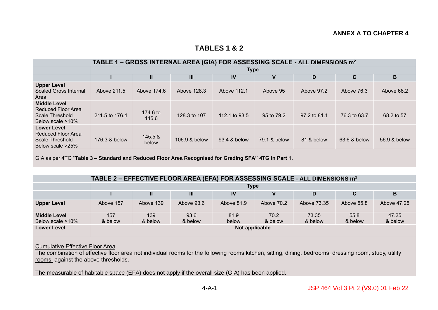#### **TABLES 1 & 2**

|                                                                                        | TABLE 1 – GROSS INTERNAL AREA (GIA) FOR ASSESSING SCALE - ALL DIMENSIONS m <sup>2</sup> |                   |               |               |              |              |              |              |  |
|----------------------------------------------------------------------------------------|-----------------------------------------------------------------------------------------|-------------------|---------------|---------------|--------------|--------------|--------------|--------------|--|
|                                                                                        |                                                                                         | <b>Type</b>       |               |               |              |              |              |              |  |
|                                                                                        |                                                                                         | Ш                 | III           | IV            | V            | D            | C            | В            |  |
| <b>Upper Level</b><br><b>Scaled Gross Internal</b><br>Area                             | Above 211.5                                                                             | Above 174.6       | Above 128.3   | Above 112.1   | Above 95     | Above 97.2   | Above 76.3   | Above 68.2   |  |
| <b>Middle Level</b><br>Reduced Floor Area<br>Scale Threshold<br>Below scale >10%       | 211.5 to 176.4                                                                          | 174.6 to<br>145.6 | 128.3 to 107  | 112.1 to 93.5 | 95 to 79.2   | 97.2 to 81.1 | 76.3 to 63.7 | 68.2 to 57   |  |
| <b>Lower Level</b><br>Reduced Floor Area<br><b>Scale Threshold</b><br>Below scale >25% | 176.3 & below                                                                           | 145.5 &<br>below  | 106.9 & below | 93.4 & below  | 79.1 & below | 81 & below   | 63.6 & below | 56.9 & below |  |

GIA as per 4TG "**Table 3 – Standard and Reduced Floor Area Recognised for Grading SFA" 4TG in Part 1.**

|  | TABLE 2 – EFFECTIVE FLOOR AREA (EFA) FOR ASSESSING SCALE - ALL DIMENSIONS $m^2$ |
|--|---------------------------------------------------------------------------------|
|--|---------------------------------------------------------------------------------|

|                     |                |           |            | <b>Type</b> |            |             |            |             |  |
|---------------------|----------------|-----------|------------|-------------|------------|-------------|------------|-------------|--|
|                     |                | П.        | III        | IV          |            |             |            | в           |  |
| <b>Upper Level</b>  | Above 157      | Above 139 | Above 93.6 | Above 81.9  | Above 70.2 | Above 73.35 | Above 55.8 | Above 47.25 |  |
| <b>Middle Level</b> | 157            | 139       | 93.6       | 81.9        | 70.2       | 73.35       | 55.8       | 47.25       |  |
| Below scale >10%    | & below        | & below   | & below    | below       | & below    | & below     | & below    | & below     |  |
| <b>Lower Level</b>  | Not applicable |           |            |             |            |             |            |             |  |

#### Cumulative Effective Floor Area

The combination of effective floor area not individual rooms for the following rooms kitchen, sitting, dining, bedrooms, dressing room, study, utility rooms, against the above thresholds.

The measurable of habitable space (EFA) does not apply if the overall size (GIA) has been applied.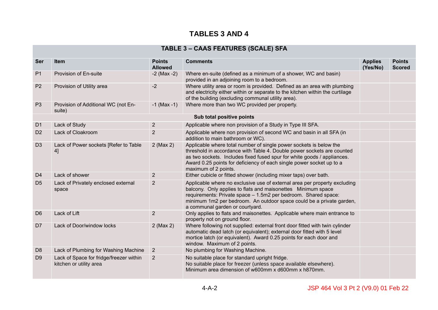## **TABLES 3 AND 4**

## **TABLE 3 – CAAS FEATURES (SCALE) SFA**

| <b>Ser</b>     | <b>Item</b>                                                        | <b>Points</b><br><b>Allowed</b> | <b>Comments</b>                                                                                                                                                                                                                                                                                                         | <b>Applies</b><br>(Yes/No) | <b>Points</b><br><b>Scored</b> |
|----------------|--------------------------------------------------------------------|---------------------------------|-------------------------------------------------------------------------------------------------------------------------------------------------------------------------------------------------------------------------------------------------------------------------------------------------------------------------|----------------------------|--------------------------------|
| P <sub>1</sub> | Provision of En-suite                                              | $-2$ (Max $-2$ )                | Where en-suite (defined as a minimum of a shower, WC and basin)<br>provided in an adjoining room to a bedroom.                                                                                                                                                                                                          |                            |                                |
| P <sub>2</sub> | Provision of Utility area                                          | $-2$                            | Where utility area or room is provided. Defined as an area with plumbing<br>and electricity either within or separate to the kitchen within the curtilage<br>of the building (excluding communal utility area).                                                                                                         |                            |                                |
| P <sub>3</sub> | Provision of Additional WC (not En-<br>suite)                      | $-1$ (Max $-1$ )                | Where more than two WC provided per property.                                                                                                                                                                                                                                                                           |                            |                                |
|                |                                                                    |                                 | Sub total positive points                                                                                                                                                                                                                                                                                               |                            |                                |
| D <sub>1</sub> | Lack of Study                                                      | $\overline{2}$                  | Applicable where non provision of a Study in Type III SFA.                                                                                                                                                                                                                                                              |                            |                                |
| D <sub>2</sub> | Lack of Cloakroom                                                  | $\overline{2}$                  | Applicable where non provision of second WC and basin in all SFA (in<br>addition to main bathroom or WC).                                                                                                                                                                                                               |                            |                                |
| D <sub>3</sub> | Lack of Power sockets [Refer to Table<br>4]                        | $2$ (Max 2)                     | Applicable where total number of single power sockets is below the<br>threshold in accordance with Table 4. Double power sockets are counted<br>as two sockets. Includes fixed fused spur for white goods / appliances.<br>Award 0.25 points for deficiency of each single power socket up to a<br>maximum of 2 points. |                            |                                |
| D <sub>4</sub> | Lack of shower                                                     | $\overline{2}$                  | Either cubicle or fitted shower (including mixer taps) over bath.                                                                                                                                                                                                                                                       |                            |                                |
| D <sub>5</sub> | Lack of Privately enclosed external<br>space                       | $\overline{2}$                  | Applicable where no exclusive use of external area per property excluding<br>balcony. Only applies to flats and maisonettes Minimum space<br>requirements: Private space - 1.5m2 per bedroom. Shared space:<br>minimum 1m2 per bedroom. An outdoor space could be a private garden,<br>a communal garden or courtyard.  |                            |                                |
| D <sub>6</sub> | Lack of Lift                                                       | $\overline{2}$                  | Only applies to flats and maisonettes. Applicable where main entrance to<br>property not on ground floor.                                                                                                                                                                                                               |                            |                                |
| D <sub>7</sub> | Lack of Door/window locks                                          | $2$ (Max 2)                     | Where following not supplied: external front door fitted with twin cylinder<br>automatic dead latch (or equivalent); external door fitted with 5 level<br>mortice latch (or equivalent). Award 0.25 points for each door and<br>window. Maximum of 2 points.                                                            |                            |                                |
| D <sub>8</sub> | Lack of Plumbing for Washing Machine                               | $\overline{2}$                  | No plumbing for Washing Machine.                                                                                                                                                                                                                                                                                        |                            |                                |
| D <sub>9</sub> | Lack of Space for fridge/freezer within<br>kitchen or utility area | $\overline{2}$                  | No suitable place for standard upright fridge.<br>No suitable place for freezer (unless space available elsewhere).<br>Minimum area dimension of w600mm x d600mm x h870mm.                                                                                                                                              |                            |                                |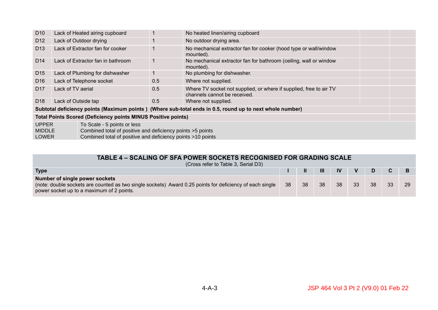| D <sub>10</sub>                                                                                                                                                                                           |                                   | Lack of Heated airing cupboard                                       |     | No heated linen/airing cupboard                                                                          |  |
|-----------------------------------------------------------------------------------------------------------------------------------------------------------------------------------------------------------|-----------------------------------|----------------------------------------------------------------------|-----|----------------------------------------------------------------------------------------------------------|--|
| D <sub>12</sub>                                                                                                                                                                                           |                                   | Lack of Outdoor drying                                               |     | No outdoor drying area.                                                                                  |  |
| D <sub>13</sub>                                                                                                                                                                                           | Lack of Extractor fan for cooker  |                                                                      |     | No mechanical extractor fan for cooker (hood type or wall/window<br>mounted).                            |  |
| D <sub>14</sub>                                                                                                                                                                                           | Lack of Extractor fan in bathroom |                                                                      |     | No mechanical extractor fan for bathroom (ceiling, wall or window<br>mounted).                           |  |
| D <sub>15</sub>                                                                                                                                                                                           | Lack of Plumbing for dishwasher   |                                                                      |     | No plumbing for dishwasher.                                                                              |  |
| D <sub>16</sub>                                                                                                                                                                                           | Lack of Telephone socket          |                                                                      | 0.5 | Where not supplied.                                                                                      |  |
| D <sub>17</sub>                                                                                                                                                                                           | Lack of TV aerial                 |                                                                      | 0.5 | Where TV socket not supplied, or where if supplied, free to air TV<br>channels cannot be received.       |  |
| D <sub>18</sub>                                                                                                                                                                                           | Lack of Outside tap               |                                                                      | 0.5 | Where not supplied.                                                                                      |  |
|                                                                                                                                                                                                           |                                   |                                                                      |     | Subtotal deficiency points (Maximum points) (Where sub-total ends in 0.5, round up to next whole number) |  |
|                                                                                                                                                                                                           |                                   | <b>Total Points Scored (Deficiency points MINUS Positive points)</b> |     |                                                                                                          |  |
| <b>UPPER</b><br>To Scale - 5 points or less<br>Combined total of positive and deficiency points >5 points<br><b>MIDDLE</b><br>Combined total of positive and deficiency points >10 points<br><b>LOWER</b> |                                   |                                                                      |     |                                                                                                          |  |

#### **TABLE 4 – SCALING OF SFA POWER SOCKETS RECOGNISED FOR GRADING SCALE**

| (Cross refer to Table 3, Serial D3)                                                                                                                                                     |    |    |                |           |              |    |    |  |
|-----------------------------------------------------------------------------------------------------------------------------------------------------------------------------------------|----|----|----------------|-----------|--------------|----|----|--|
| <b>Type</b>                                                                                                                                                                             |    | Ш  | $\mathbf{III}$ | <b>IV</b> | $\mathbf{V}$ |    |    |  |
| Number of single power sockets<br>(note: double sockets are counted as two single sockets) Award 0.25 points for deficiency of each single<br>power socket up to a maximum of 2 points. | 38 | 38 | 38             | 38        | 33           | 38 | 33 |  |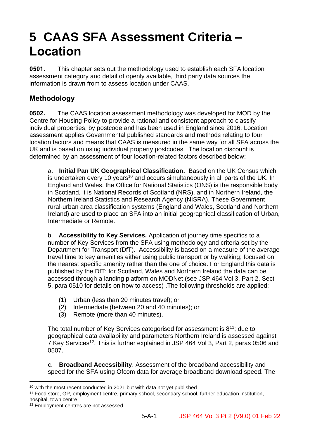## **5 CAAS SFA Assessment Criteria – Location**

**0501.** This chapter sets out the methodology used to establish each SFA location assessment category and detail of openly available, third party data sources the information is drawn from to assess location under CAAS.

## **Methodology**

**0502.** The CAAS location assessment methodology was developed for MOD by the Centre for Housing Policy to provide a rational and consistent approach to classify individual properties, by postcode and has been used in England since 2016. Location assessment applies Governmental published standards and methods relating to four location factors and means that CAAS is measured in the same way for all SFA across the UK and is based on using individual property postcodes. The location discount is determined by an assessment of four location-related factors described below:

a. **Initial Pan UK Geographical Classification.** Based on the UK Census which is undertaken every 10 years<sup>10</sup> and occurs simultaneously in all parts of the UK. In England and Wales, the Office for National Statistics (ONS) is the responsible body in Scotland, it is National Records of Scotland (NRS), and in Northern Ireland, the Northern Ireland Statistics and Research Agency (NISRA). These Government rural-urban area classification systems (England and Wales, Scotland and Northern Ireland) are used to place an SFA into an initial geographical classification of Urban, Intermediate or Remote.

b. **Accessibility to Key Services.** Application of journey time specifics to a number of Key Services from the SFA using methodology and criteria set by the Department for Transport (DfT). Accessibility is based on a measure of the average travel time to key amenities either using public transport or by walking; focused on the nearest specific amenity rather than the one of choice. For England this data is published by the DfT; for Scotland, Wales and Northern Ireland the data can be accessed through a landing platform on MODNet (see JSP 464 Vol 3, Part 2, Sect 5, para 0510 for details on how to access) .The following thresholds are applied:

- (1) Urban (less than 20 minutes travel); or
- (2) Intermediate (between 20 and 40 minutes); or
- (3) Remote (more than 40 minutes).

The total number of Key Services categorised for assessment is  $8^{11}$ ; due to geographical data availability and parameters Northern Ireland is assessed against 7 Key Services<sup>12</sup>. This is further explained in JSP 464 Vol 3, Part 2, paras 0506 and 0507.

c. **Broadband Accessibility**. Assessment of the broadband accessibility and speed for the SFA using Ofcom data for average broadband download speed. The

<sup>11</sup> Food store, GP, employment centre, primary school, secondary school, further education institution, hospital, town centre

<sup>10</sup> with the most recent conducted in 2021 but with data not yet published.

<sup>12</sup> Employment centres are not assessed.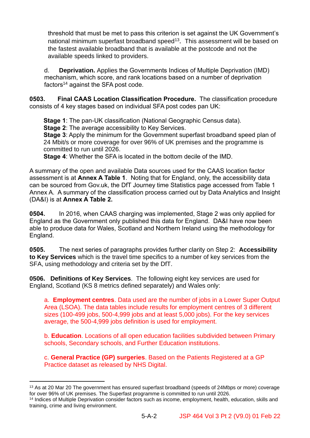threshold that must be met to pass this criterion is set against the UK Government's national minimum superfast broadband speed<sup>13</sup>. This assessment will be based on the fastest available broadband that is available at the postcode and not the available speeds linked to providers.

d. **Deprivation.** Applies the Governments Indices of Multiple Deprivation (IMD) mechanism, which score, and rank locations based on a number of deprivation factors<sup>14</sup> against the SFA post code.

**0503. Final CAAS Location Classification Procedure.** The classification procedure consists of 4 key stages based on individual SFA post codes pan UK:

**Stage 1**: The pan-UK classification (National Geographic Census data).

**Stage 2**: The average accessibility to Key Services.

**Stage 3**: Apply the minimum for the Government superfast broadband speed plan of 24 Mbit/s or more coverage for over 96% of UK premises and the programme is committed to run until 2026.

**Stage 4**: Whether the SFA is located in the bottom decile of the IMD.

A summary of the open and available Data sources used for the CAAS location factor assessment is at **Annex A Table 1**. Noting that for England, only, the accessibility data can be sourced from Gov.uk, the DfT Journey time Statistics page accessed from Table 1 Annex A. A summary of the classification process carried out by Data Analytics and Insight (DA&I) is at **Annex A Table 2.**

**0504.** In 2016, when CAAS charging was implemented, Stage 2 was only applied for England as the Government only published this data for England. DA&I have now been able to produce data for Wales, Scotland and Northern Ireland using the methodology for England.

**0505.** The next series of paragraphs provides further clarity on Step 2: **Accessibility to Key Services** which is the travel time specifics to a number of key services from the SFA, using methodology and criteria set by the DfT.

**0506. Definitions of Key Services**. The following eight key services are used for England, Scotland (KS 8 metrics defined separately) and Wales only:

a. **Employment centres**. Data used are the number of jobs in a Lower Super Output Area (LSOA). The data tables include results for employment centres of 3 different sizes (100-499 jobs, 500-4,999 jobs and at least 5,000 jobs). For the key services average, the 500-4,999 jobs definition is used for employment.

b. **Education**. Locations of all open education facilities subdivided between Primary schools, Secondary schools, and Further Education institutions.

c. **General Practice (GP) surgeries**. Based on the Patients Registered at a GP Practice dataset as released by NHS Digital.

<sup>&</sup>lt;sup>13</sup> As at 20 Mar 20 The government has ensured superfast broadband (speeds of 24Mbps or more) coverage for over 96% of UK premises. The Superfast programme is committed to run until 2026.

<sup>14</sup> Indices of Multiple Deprivation consider factors such as income, employment, health, education, skills and training, crime and living environment.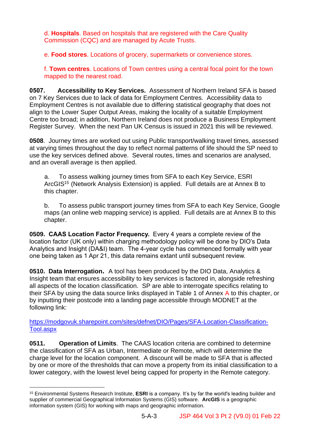d. **Hospitals**. Based on hospitals that are registered with the Care Quality Commission (CQC) and are managed by Acute Trusts.

e. **Food stores**. Locations of grocery, supermarkets or convenience stores.

f. **Town centres**. Locations of Town centres using a central focal point for the town mapped to the nearest road.

**0507. Accessibility to Key Services.** Assessment of Northern Ireland SFA is based on 7 Key Services due to lack of data for Employment Centres. Accessibility data to Employment Centres is not available due to differing statistical geography that does not align to the Lower Super Output Areas, making the locality of a suitable Employment Centre too broad; in addition, Northern Ireland does not produce a Business Employment Register Survey. When the next Pan UK Census is issued in 2021 this will be reviewed.

**0508**. Journey times are worked out using Public transport/walking travel times, assessed at varying times throughout the day to reflect normal patterns of life should the SP need to use the key services defined above. Several routes, times and scenarios are analysed, and an overall average is then applied.

a. To assess walking journey times from SFA to each Key Service, ESRI ArcGIS<sup>15</sup> (Network Analysis Extension) is applied. Full details are at Annex B to this chapter.

b. To assess public transport journey times from SFA to each Key Service, Google maps (an online web mapping service) is applied. Full details are at Annex B to this chapter.

**0509. CAAS Location Factor Frequency.** Every 4 years a complete review of the location factor (UK only) within charging methodology policy will be done by DIO's Data Analytics and Insight (DA&I) team. The 4-year cycle has commenced formally with year one being taken as 1 Apr 21, this data remains extant until subsequent review.

**0510. Data Interrogation.** A tool has been produced by the DIO Data, Analytics & Insight team that ensures accessibility to key services is factored in, alongside refreshing all aspects of the location classification. SP are able to interrogate specifics relating to their SFA by using the data source links displayed in Table 1 of Annex A to this chapter, or by inputting their postcode into a landing page accessible through MODNET at the following link:

[https://modgovuk.sharepoint.com/sites/defnet/DIO/Pages/SFA-Location-Classification-](https://modgovuk.sharepoint.com/sites/defnet/DIO/Pages/SFA-Location-Classification-Tool.aspx)[Tool.aspx](https://modgovuk.sharepoint.com/sites/defnet/DIO/Pages/SFA-Location-Classification-Tool.aspx)

**0511. Operation of Limits**. The CAAS location criteria are combined to determine the classification of SFA as Urban, Intermediate or Remote, which will determine the charge level for the location component. A discount will be made to SFA that is affected by one or more of the thresholds that can move a property from its initial classification to a lower category, with the lowest level being capped for property in the Remote category.

<sup>15</sup> Environmental Systems Research Institute, **ESRI** is a company. It's by far the world's leading builder and supplier of commercial Geographical Information Systems (GIS) software. **ArcGIS** is a geographic information system (GIS) for working with maps and geographic information.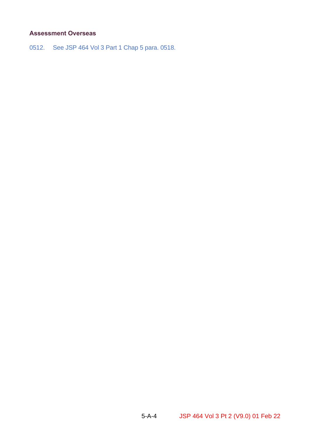#### **Assessment Overseas**

0512. See JSP 464 Vol 3 Part 1 Chap 5 para. 0518.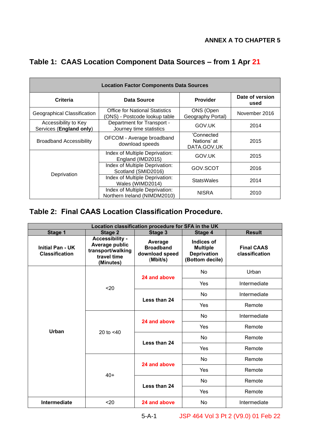|  | Table 1: CAAS Location Component Data Sources - from 1 Apr 21 |  |  |  |
|--|---------------------------------------------------------------|--|--|--|
|--|---------------------------------------------------------------|--|--|--|

| <b>Location Factor Components Data Sources</b>  |                                                                        |                                          |                         |  |  |
|-------------------------------------------------|------------------------------------------------------------------------|------------------------------------------|-------------------------|--|--|
| Criteria                                        | Data Source                                                            | <b>Provider</b>                          | Date of version<br>used |  |  |
| Geographical Classification                     | <b>Office for National Statistics</b><br>(ONS) - Postcode lookup table | ONS (Open<br>Geography Portal)           | November 2016           |  |  |
| Accessibility to Key<br>Services (England only) | Department for Transport -<br>Journey time statistics                  | GOV.UK                                   | 2014                    |  |  |
| <b>Broadband Accessibility</b>                  | OFCOM - Average broadband<br>download speeds                           | 'Connected<br>Nations' at<br>DATA.GOV.UK | 2015                    |  |  |
|                                                 | Index of Multiple Deprivation:<br>England (IMD2015)                    | GOV.UK                                   | 2015                    |  |  |
| Deprivation                                     | Index of Multiple Deprivation:<br>Scotland (SMID2016)                  | GOV.SCOT                                 | 2016                    |  |  |
|                                                 | Index of Multiple Deprivation:<br>Wales (WIMD2014)                     | <b>StatsWales</b>                        | 2014                    |  |  |
|                                                 | Index of Multiple Deprivation:<br>Northern Ireland (NIMDM2010)         | <b>NISRA</b>                             | 2010                    |  |  |

## **Table 2: Final CAAS Location Classification Procedure.**

| Location classification procedure for SFA in the UK |                                                                                    |                                                           |                                                                        |                                     |  |  |
|-----------------------------------------------------|------------------------------------------------------------------------------------|-----------------------------------------------------------|------------------------------------------------------------------------|-------------------------------------|--|--|
| Stage 1                                             | Stage 2                                                                            | Stage 3                                                   | Stage 4                                                                | <b>Result</b>                       |  |  |
| <b>Initial Pan - UK</b><br><b>Classification</b>    | Accessibility -<br>Average public<br>transport/walking<br>travel time<br>(Minutes) | Average<br><b>Broadband</b><br>download speed<br>(Mbit/s) | Indices of<br><b>Multiple</b><br><b>Deprivation</b><br>(Bottom decile) | <b>Final CAAS</b><br>classification |  |  |
|                                                     |                                                                                    | 24 and above                                              | <b>No</b>                                                              | Urban                               |  |  |
|                                                     | $20$                                                                               |                                                           | Yes                                                                    | Intermediate                        |  |  |
|                                                     |                                                                                    | Less than 24                                              | <b>No</b>                                                              | Intermediate                        |  |  |
|                                                     |                                                                                    |                                                           | Yes                                                                    | Remote                              |  |  |
|                                                     | 20 to $< 40$                                                                       | 24 and above<br>Less than 24                              | <b>No</b>                                                              | Intermediate                        |  |  |
| Urban                                               |                                                                                    |                                                           | Yes                                                                    | Remote                              |  |  |
|                                                     |                                                                                    |                                                           | <b>No</b>                                                              | Remote                              |  |  |
|                                                     |                                                                                    |                                                           | Yes                                                                    | Remote                              |  |  |
|                                                     |                                                                                    | 24 and above                                              | <b>No</b>                                                              | Remote                              |  |  |
|                                                     | $40+$                                                                              |                                                           | Yes                                                                    | Remote                              |  |  |
|                                                     |                                                                                    | Less than 24                                              | <b>No</b>                                                              | Remote                              |  |  |
|                                                     |                                                                                    |                                                           | Yes                                                                    | Remote                              |  |  |
| Intermediate                                        | $20$                                                                               | 24 and above                                              | No                                                                     | Intermediate                        |  |  |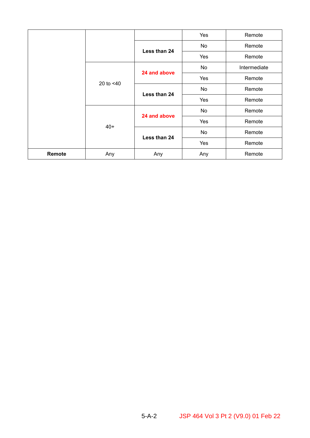|        |              |              | Yes       | Remote       |
|--------|--------------|--------------|-----------|--------------|
|        |              | Less than 24 | No        | Remote       |
|        |              |              | Yes       | Remote       |
|        |              | 24 and above | No        | Intermediate |
|        | 20 to $<$ 40 |              | Yes       | Remote       |
|        |              | Less than 24 | No        | Remote       |
|        |              |              | Yes       | Remote       |
|        |              | 24 and above | <b>No</b> | Remote       |
|        | $40+$        |              | Yes       | Remote       |
|        |              | Less than 24 | No        | Remote       |
|        |              |              | Yes       | Remote       |
| Remote | Any          | Any          | Any       | Remote       |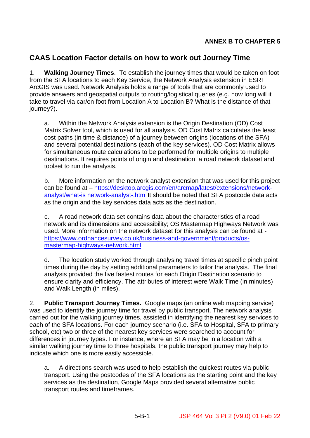#### **ANNEX B TO CHAPTER 5**

## **CAAS Location Factor details on how to work out Journey Time**

1. **Walking Journey Times**. To establish the journey times that would be taken on foot from the SFA locations to each Key Service, the Network Analysis extension in ESRI ArcGIS was used. Network Analysis holds a range of tools that are commonly used to provide answers and geospatial outputs to routing/logistical queries (e.g. how long will it take to travel via car/on foot from Location A to Location B? What is the distance of that journey?).

a. Within the Network Analysis extension is the Origin Destination (OD) Cost Matrix Solver tool, which is used for all analysis. OD Cost Matrix calculates the least cost paths (in time & distance) of a journey between origins (locations of the SFA) and several potential destinations (each of the key services). OD Cost Matrix allows for simultaneous route calculations to be performed for multiple origins to multiple destinations. It requires points of origin and destination, a road network dataset and toolset to run the analysis.

b. More information on the network analyst extension that was used for this project can be found at – [https://desktop.arcgis.com/en/arcmap/latest/extensions/network](https://desktop.arcgis.com/en/arcmap/latest/extensions/network-analyst/what-is%20network-analyst-.htm)[analyst/what-is network-analyst-.htm](https://desktop.arcgis.com/en/arcmap/latest/extensions/network-analyst/what-is%20network-analyst-.htm) It should be noted that SFA postcode data acts as the origin and the key services data acts as the destination.

c. A road network data set contains data about the characteristics of a road network and its dimensions and accessibility; OS Mastermap Highways Network was used. More information on the network dataset for this analysis can be found at [https://www.ordnancesurvey.co.uk/business-and-government/products/os](https://www.ordnancesurvey.co.uk/business-and-government/products/os-mastermap-highways-network.html)[mastermap-highways-network.html](https://www.ordnancesurvey.co.uk/business-and-government/products/os-mastermap-highways-network.html)

d. The location study worked through analysing travel times at specific pinch point times during the day by setting additional parameters to tailor the analysis. The final analysis provided the five fastest routes for each Origin Destination scenario to ensure clarity and efficiency. The attributes of interest were Walk Time (in minutes) and Walk Length (in miles).

2. **Public Transport Journey Times.** Google maps (an online web mapping service) was used to identify the journey time for travel by public transport. The network analysis carried out for the walking journey times, assisted in identifying the nearest key services to each of the SFA locations. For each journey scenario (i.e. SFA to Hospital, SFA to primary school, etc) two or three of the nearest key services were searched to account for differences in journey types. For instance, where an SFA may be in a location with a similar walking journey time to three hospitals, the public transport journey may help to indicate which one is more easily accessible.

a. A directions search was used to help establish the quickest routes via public transport. Using the postcodes of the SFA locations as the starting point and the key services as the destination, Google Maps provided several alternative public transport routes and timeframes.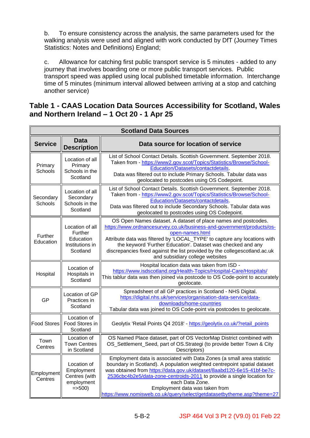b. To ensure consistency across the analysis, the same parameters used for the walking analysis were used and aligned with work conducted by DfT (Journey Times Statistics: Notes and Definitions) England;

c. Allowance for catching first public transport service is 5 minutes - added to any journey that involves boarding one or more public transport services. Public transport speed was applied using local published timetable information. Interchange time of 5 minutes (minimum interval allowed between arriving at a stop and catching another service)

#### **Table 1 - CAAS Location Data Sources Accessibility for Scotland, Wales and Northern Ireland – 1 Oct 20 - 1 Apr 25**

| <b>Scotland Data Sources</b> |                                                                        |                                                                                                                                                                                                                                                                                                                                                                                                                                      |  |  |  |
|------------------------------|------------------------------------------------------------------------|--------------------------------------------------------------------------------------------------------------------------------------------------------------------------------------------------------------------------------------------------------------------------------------------------------------------------------------------------------------------------------------------------------------------------------------|--|--|--|
| <b>Service</b>               | <b>Data</b><br><b>Description</b>                                      | Data source for location of service                                                                                                                                                                                                                                                                                                                                                                                                  |  |  |  |
| Primary<br>Schools           | Location of all<br>Primary<br>Schools in the<br>Scotland               | List of School Contact Details. Scottish Government. September 2018.<br>Taken from - https://www2.gov.scot/Topics/Statistics/Browse/School-<br>Education/Datasets/contactdetails.<br>Data was filtered out to include Primary Schools. Tabular data was<br>geolocated to postcodes using OS Codepoint.                                                                                                                               |  |  |  |
| Secondary<br>Schools         | Location of all<br>Secondary<br>Schools in the<br>Scotland             | List of School Contact Details. Scottish Government. September 2018.<br>Taken from - https://www2.gov.scot/Topics/Statistics/Browse/School-<br>Education/Datasets/contactdetails<br>Data was filtered out to include Secondary Schools. Tabular data was<br>geolocated to postcodes using OS Codepoint.                                                                                                                              |  |  |  |
| Further<br>Education         | Location of all<br>Further<br>Education<br>Institutions in<br>Scotland | OS Open Names dataset. A dataset of place names and postcodes.<br>https://www.ordnancesurvey.co.uk/business-and-government/products/os-<br>open-names.html<br>Attribute data was filtered by 'LOCAL_TYPE' to capture any locations with<br>the keyword 'Further Education'. Dataset was checked and any<br>discrepancies fixed against the list provided by the collegescotland.ac.uk<br>and subsidiary college websites             |  |  |  |
| Hospital                     | Location of<br>Hospitals in<br>Scotland                                | Hospital location data was taken from ISD -<br>https://www.isdscotland.org/Health-Topics/Hospital-Care/Hospitals/<br>This tablur data was then joined via postcode to OS Code-point to accurately<br>geolocate.                                                                                                                                                                                                                      |  |  |  |
| GP                           | Location of GP<br>Practices in<br>Scotland                             | Spreadsheet of all GP practices in Scotland - NHS Digital.<br>https://digital.nhs.uk/services/organisation-data-service/data-<br>downloads/home-countries<br>Tabular data was joined to OS Code-point via postcodes to geolocate.                                                                                                                                                                                                    |  |  |  |
| <b>Food Stores</b>           | Location of<br>Food Stores in<br>Scotland                              | Geolytix 'Retail Points Q4 2018' - https://geolytix.co.uk/?retail_points                                                                                                                                                                                                                                                                                                                                                             |  |  |  |
| Town<br>Centres              | Location of<br><b>Town Centres</b><br>in Scotland                      | OS Named Place dataset, part of OS VectorMap District combined with<br>OS_Settlement_Seed, part of OS.Strategi (to provide better Town & City<br>Descriptors)                                                                                                                                                                                                                                                                        |  |  |  |
| Employment<br>Centres        | Location of<br>Employment<br>Centres (with<br>employment<br>$=$ > 500) | Employment data is associated with Data Zones (a small area statistic<br>boundary in Scotland). A population weighted centrepoint spatial dataset<br>was obtained from https://data.gov.uk/dataset/8aabd120-6e15-41bf-be7c-<br>2536cbc4b2e5/data-zone-centroids-2011 to provide a single location for<br>each Data Zone.<br>Employment data was taken from<br>https://www.nomisweb.co.uk/query/select/getdatasetbytheme.asp?theme=27 |  |  |  |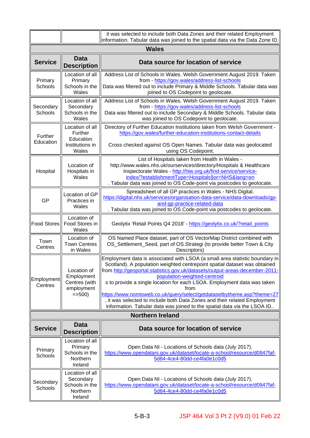|                       |                                                                        | it was selected to include both Data Zones and their related Employment<br>information. Tabular data was joined to the spatial data via the Data Zone ID.                                                                                                                                                                                                                                                                                                                                                                                                                                      |  |  |  |
|-----------------------|------------------------------------------------------------------------|------------------------------------------------------------------------------------------------------------------------------------------------------------------------------------------------------------------------------------------------------------------------------------------------------------------------------------------------------------------------------------------------------------------------------------------------------------------------------------------------------------------------------------------------------------------------------------------------|--|--|--|
| <b>Wales</b>          |                                                                        |                                                                                                                                                                                                                                                                                                                                                                                                                                                                                                                                                                                                |  |  |  |
| <b>Service</b>        | <b>Data</b><br><b>Description</b>                                      | Data source for location of service                                                                                                                                                                                                                                                                                                                                                                                                                                                                                                                                                            |  |  |  |
| Primary<br>Schools    | Location of all<br>Primary<br>Schools in the<br>Wales                  | Address List of Schools in Wales. Welsh Government August 2019. Taken<br>from - https://gov.wales/address-list-schools<br>Data was filtered out to include Primary & Middle Schools. Tabular data was<br>joined to OS Codepoint to geolocate.                                                                                                                                                                                                                                                                                                                                                  |  |  |  |
| Secondary<br>Schools  | Location of all<br>Secondary<br>Schools in the<br>Wales                | Address List of Schools in Wales. Welsh Government August 2019. Taken<br>from - https://gov.wales/address-list-schools<br>Data was filtered out to include Secondary & Middle Schools. Tabular data<br>was joined to OS Codepoint to geolocate.                                                                                                                                                                                                                                                                                                                                                |  |  |  |
| Further<br>Education  | Location of all<br>Further<br>Education<br>Institutions in<br>Wales    | Directory of Further Education Institutions taken from Welsh Government -<br>https://gov.wales/further-education-institutions-contact-details<br>Cross checked against OS Open Names. Tabular data was geolocated<br>using OS Codepoint.                                                                                                                                                                                                                                                                                                                                                       |  |  |  |
| Hospital              | Location of<br>Hospitals in<br>Wales                                   | List of Hospitals taken from Health in Wales -<br>http://www.wales.nhs.uk/ourservices/directory/Hospitals & Healthcare<br>Inspectorate Wales - http://hiw.org.uk/find-service/service-<br>index/?establishmentType=Hospitals§or=NHS⟨=en<br>. Tabular data was joined to OS Code-point via postcodes to geolocate.                                                                                                                                                                                                                                                                              |  |  |  |
| GP                    | Location of GP<br>Practices in<br>Wales                                | Spreadsheet of all GP practices in Wales - NHS Digital.<br>https://digital.nhs.uk/services/organisation-data-service/data-downloads/gp-<br>and-gp-practice-related-data<br>. Tabular data was joined to OS Code-point via postcodes to geolocate.                                                                                                                                                                                                                                                                                                                                              |  |  |  |
| <b>Food Stores</b>    | Location of<br>Food Stores in<br>Wales                                 | Geolytix 'Retail Points Q4 2018' - https://geolytix.co.uk/?retail_points                                                                                                                                                                                                                                                                                                                                                                                                                                                                                                                       |  |  |  |
| Town<br>Centres       | Location of<br><b>Town Centres</b><br>in Wales                         | OS Named Place dataset, part of OS VectorMap District combined with<br>OS_Settlement_Seed, part of OS.Strategi (to provide better Town & City<br>Descriptors)                                                                                                                                                                                                                                                                                                                                                                                                                                  |  |  |  |
| Employment<br>Centres | Location of<br>Employment<br>Centres (with<br>employment<br>$=$ > 500) | Employment data is associated with LSOA (a small area statistic boundary in<br>Scotland). A population weighted centrepoint spatial dataset was obtained<br>from http://geoportal.statistics.gov.uk/datasets/output-areas-december-2011-<br>population-weighted-centroid<br>s to provide a single location for each LSOA. Employment data was taken<br>from<br>https://www.nomisweb.co.uk/query/select/getdatasetbytheme.asp?theme=27<br>, it was selected to include both Data Zones and their related Employment<br>information. Tabular data was joined to the spatial data via the LSOA ID |  |  |  |
|                       |                                                                        | <b>Northern Ireland</b>                                                                                                                                                                                                                                                                                                                                                                                                                                                                                                                                                                        |  |  |  |
| <b>Service</b>        | <b>Data</b><br><b>Description</b>                                      | Data source for location of service                                                                                                                                                                                                                                                                                                                                                                                                                                                                                                                                                            |  |  |  |
| Primary<br>Schools    | Location of all<br>Primary<br>Schools in the<br>Northern<br>Ireland    | Open Data NI - Locations of Schools data (July 2017).<br>https://www.opendatani.gov.uk/dataset/locate-a-school/resource/d0947faf-<br>5d84-4ce4-80dd-ce4fa0e1c0d5                                                                                                                                                                                                                                                                                                                                                                                                                               |  |  |  |
| Secondary<br>Schools  | Location of all<br>Secondary<br>Schools in the<br>Northern<br>Ireland  | Open Data NI - Locations of Schools data (July 2017).<br>https://www.opendatani.gov.uk/dataset/locate-a-school/resource/d0947faf-<br>5d84-4ce4-80dd-ce4fa0e1c0d5                                                                                                                                                                                                                                                                                                                                                                                                                               |  |  |  |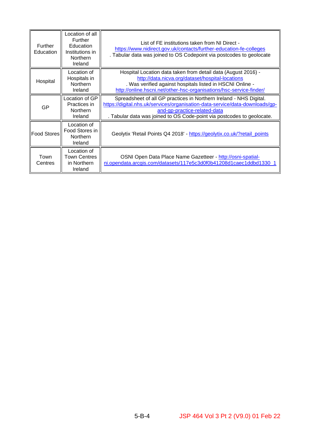| <b>Further</b><br>Education | Location of all<br><b>Further</b><br>Education<br>Institutions in<br>Northern<br>Ireland | List of FE institutions taken from NI Direct -<br>https://www.nidirect.gov.uk/contacts/further-education-fe-colleges<br>. Tabular data was joined to OS Codepoint via postcodes to geolocate                                                                 |
|-----------------------------|------------------------------------------------------------------------------------------|--------------------------------------------------------------------------------------------------------------------------------------------------------------------------------------------------------------------------------------------------------------|
| Hospital                    | Location of<br>Hospitals in<br>Northern<br>Ireland                                       | Hospital Location data taken from detail data (August 2016) -<br>http://data.nicva.org/dataset/hospital-locations<br>. Was verified against hospitals listed in HSCNI Online -<br>http://online.hscni.net/other-hsc-organisations/hsc-service-finder/        |
| GP                          | Location of GP<br>Practices in<br><b>Northern</b><br><b>Ireland</b>                      | Spreadsheet of all GP practices in Northern Ireland - NHS Digital.<br>https://digital.nhs.uk/services/organisation-data-service/data-downloads/gp-<br>and-gp-practice-related-data<br>. Tabular data was joined to OS Code-point via postcodes to geolocate. |
| <b>Food Stores</b>          | Location of<br>Food Stores in<br>Northern<br>Ireland                                     | Geolytix 'Retail Points Q4 2018' - https://geolytix.co.uk/?retail_points                                                                                                                                                                                     |
| Town<br>Centres             | Location of<br><b>Town Centres</b><br>in Northern<br>Ireland                             | OSNI Open Data Place Name Gazetteer - http://osni-spatial-<br>ni.opendata.arcgis.com/datasets/117e5c3d0f0b41208d1caec1ddbd1330_1                                                                                                                             |